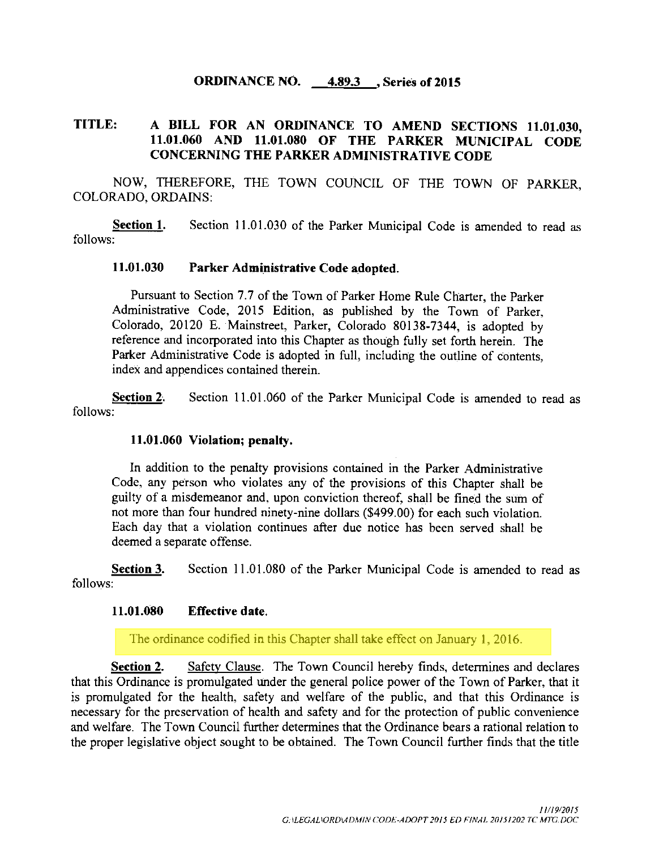## ORDINANCE NO. 4.893 , Series of 2015

# TITLE: A BILL FOR AN ORDINANCE TO AMEND SECTIONS 11.01.030, 11. 01. 060 AND 11. 01. 080 OF THE PARKER MUNICIPAL CODE CONCERNING THE PARKER ADMINISTRATIVE CODE

NOW, THEREFORE, THE TOWN COUNCIL OF THE TOWN OF PARKER, COLORADO, ORDAINS:

Section 1. Section 11.01.030 of the Parker Municipal Code is amended to read as follows:

## 11. 01. 030 Parker Administrative Code adopted.

Pursuant to Section 7.7 of the Town of Parker Home Rule Charter, the Parker Administrative Code, 2015 Edition, as published by the Town of Parker, Colorado, 20120 E. Mainstreet, Parker, Colorado 80138-7344, is adopted by reference and incorporated into this Chapter as though fully set forth herein. The Parker Administrative Code is adopted in full, including the outline of contents, index and appendices contained therein.

Section 2. Section 11.01.060 of the Parker Municipal Code is amended to read as follows:

### 11. 01. 060 Violation; penalty.

In addition to the penalty provisions contained in the Parker Administrative Code, any person who violates any of the provisions of this Chapter shall be guilty of <sup>a</sup> misdemeanor and, upon conviction thereof, shall be fined the sum of not more than four hundred ninety-nine dollars (\$ 499. 00) for each such violation. Each day that a violation continues after due notice has been served shall be deemed a separate offense.

Section 3. Section 11.01.080 of the Parker Municipal Code is amended to read as follows:

#### 11. 01. 080 Effective date.

The ordinance codified in this Chapter shall take effect on January 1, 2016.

Section 2. Safety Clause. The Town Council hereby finds, determines and declares that this Ordinance is promulgated under the general police power of the Town of Parker, that it is promulgated for the health, safety and welfare of the public, and that this Ordinance is necessary for the preservation of health and safety and for the protection of public convenience and welfare. The Town Council further determines that the Ordinance bears a rational relation to the proper legislative object sought to be obtained. The Town Council further finds that the title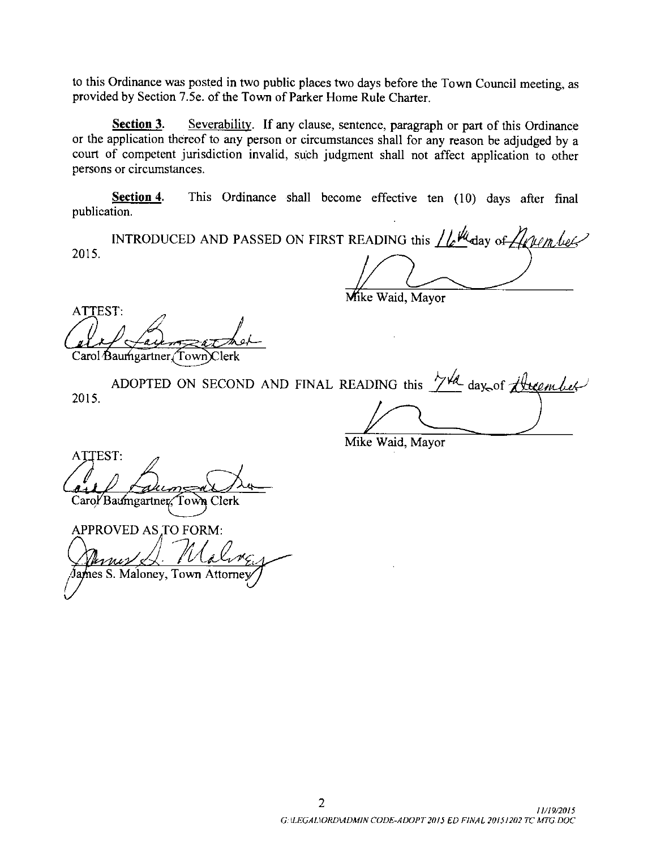to this Ordinance was posted in two public places two days before the Town Council meeting, as provided by Section 7. 5e. of the Town of Parker Home Rule Charter.

Section 3. Severability. If any clause, sentence, paragraph or part of this Ordinance or the application thereof to any person or circumstances shall for any reason be adjudged by a court of competent jurisdiction invalid, such judgment shall not affect application to other persons or circumstances.

Section 4. This Ordinance shall become effective ten (10) days after final publication.

INTRODUCED AND PASSED ON FIRST READING this  $\mu$   $\mu$  day of  $\mu$   $\mu$   $\mu$ 2015.

Mike Waid, Mayor

ATTEST: Carol Baumgartner Town Clerk

2015. ADOPTED ON SECOND AND FINAL READING this  $\frac{1}{4}$  day, of  $\overline{G}$  this

Mike Waid, Mayor

ATTEST: 11 Quinces 6

APPROVED AS TO FORM: PROVED AS TO FORM:<br>  $\mu_{\text{max}}$  (Maloney, Town Attorney)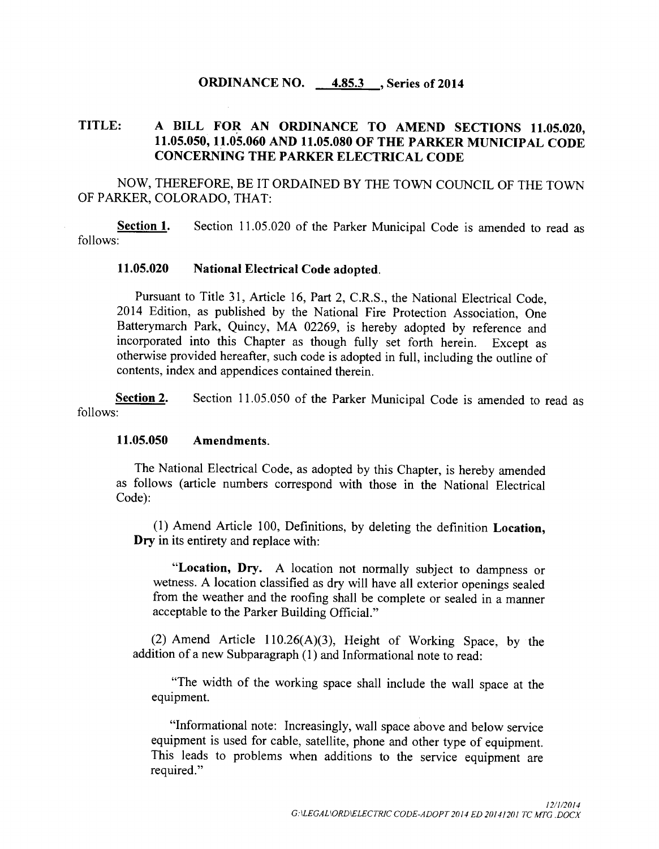## **ORDINANCE NO. 4.85.3 , Series of 2014**

# TITLE: A BILL FOR AN ORDINANCE TO AMEND SECTIONS 11. 05.020, 11. 05.050, 11. 05.060 AND 11. 05.080 OF THE PARKER MUNICIPAL CODE CONCERNING THE PARKER ELECTRICAL CODE

NOW, THEREFORE, BE IT ORDAINED BY THE TOWN COUNCIL OF THE TOWN OF PARKER, COLORADO, THAT:

Section 1. Section 11.05.020 of the Parker Municipal Code is amended to read as follows:

#### 11. 05.020 National Electrical Code adopted.

Pursuant to Title 31, Article 16, Part 2, C.R.S., the National Electrical Code, 2014 Edition, as published by the National Fire Protection Association, One Batterymarch Park, Quincy, MA 02269, is hereby adopted by reference and incorporated into this Chapter as though fully set forth herein. Except as otherwise provided hereafter, such code is adopted in full, including the outline of contents, index and appendices contained therein.

Section 2. Section 11.05.050 of the Parker Municipal Code is amended to read as follows:

## 11. 05.050 Amendments.

The National Electrical Code, as adopted by this Chapter, is hereby amended as follows ( article numbers correspond with those in the National Electrical Code):

1) Amend Article 100, Definitions, by deleting the definition Location, Dry in its entirety and replace with:

Location, Dry. A location not normally subject to dampness or wetness. A location classified as dry will have all exterior openings sealed from the weather and the roofing shall be complete or sealed in a manner acceptable to the Parker Building Official."

2) Amend Article 110.26(A)(3), Height of Working Space, by the addition of a new Subparagraph (1) and Informational note to read:

The width of the working space shall include the wall space at the equipment.

"Informational note: Increasingly, wall space above and below service equipment is used for cable, satellite, phone and other type of equipment. This leads to problems when additions to the service equipment are required."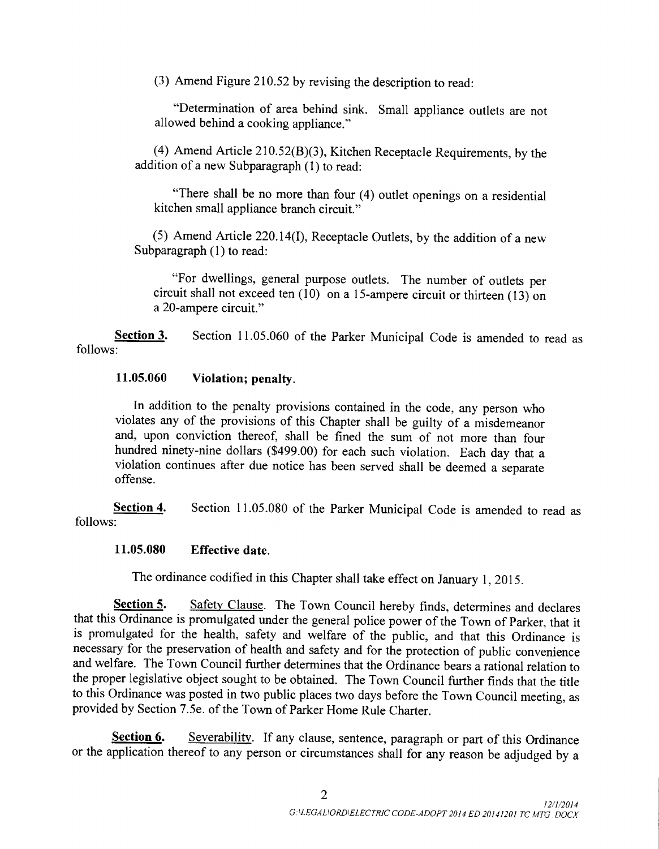3) Amend Figure 210.52 by revising the description to read:

Determination of area behind sink. Small appliance outlets are not allowed behind a cooking appliance."

(4) Amend Article  $210.52(B)(3)$ , Kitchen Receptacle Requirements, by the addition of a new Subparagraph (1) to read:

"There shall be no more than four (4) outlet openings on a residential kitchen small appliance branch circuit."

(5) Amend Article 220.14(I), Receptacle Outlets, by the addition of a new Subparagraph (1) to read:

For dwellings, general purpose outlets. The number of outlets per circuit shall not exceed ten  $(10)$  on a 15-ampere circuit or thirteen  $(13)$  on a 20 -ampere circuit."

Section 3. Section 11.05.060 of the Parker Municipal Code is amended to read as follows:

# 11. 05.060 Violation; penalty.

In addition to the penalty provisions contained in the code, any person who violates any of the provisions of this Chapter shall be guilty of <sup>a</sup> misdemeanor and, upon conviction thereof, shall be fined the sum of not more than four hundred ninety-nine dollars (\$499.00) for each such violation. Each day that a violation continues after due notice has been served shall be deemed a separate offense.

Section 4. Section 11.05.080 of the Parker Municipal Code is amended to read as follows:

## 11. 05.080 Effective date.

The ordinance codified in this Chapter shall take effect on January 1, 2015.

Section 5. Safety Clause. The Town Council hereby finds, determines and declares that this Ordinance is promulgated under the general police power of the Town of Parker, that it is promulgated for the health, safety and welfare of the public, and that this Ordinance is necessary for the preservation of health and safety and for the protection of public convenience and welfare. The Town Council further determines that the Ordinance bears a rational relation to the proper legislative object sought to be obtained. The Town Council further finds that the title to this Ordinance was posted in two public places two days before the Town Council meeting, as provided by Section 7. 5e. of the Town of Parker Home Rule Charter.

Section 6. Severability. If any clause, sentence, paragraph or part of this Ordinance or the application thereof to any person or circumstances shall for any reason be adjudged by <sup>a</sup>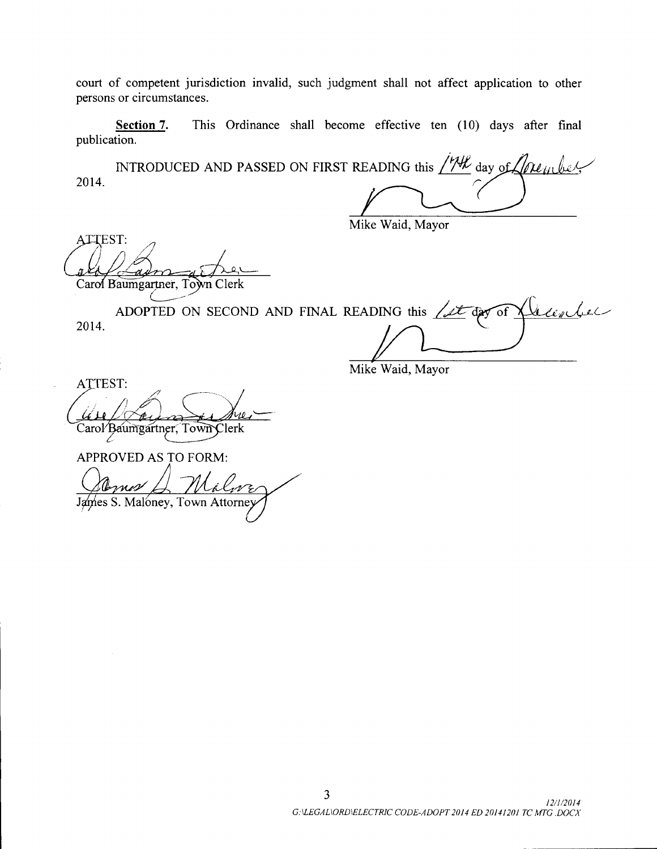court of competent jurisdiction invalid, such judgment shall not affect application to other persons or circumstances.

Section 7. This Ordinance shall become effective ten (10) days after final publication.

INTRODUCED AND PASSED ON FIRST READING this  $\sqrt{W}$  day of 2014.

Mike Waid, Mayor

ATTEST: as Carol Baumgartner, Town Clerk

Jean Jer ADOPTED ON SECOND AND FINAL READING this  $\sqrt{2\pi}$  day of 2014.

Mike Waid, Mayor

ATTEST: ATTEST:<br>
Use Are Ave

APPROVED AS TO FORM:  $\sim$ James S. Maloney, Town Attorne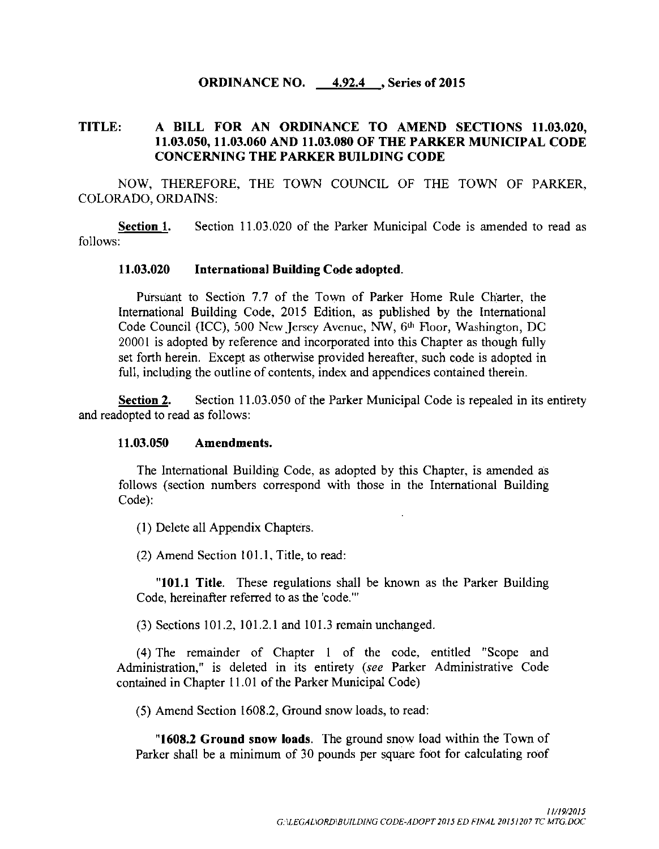## ORDINANCE NO. 4.92.4 , Series of 2015

# TITLE: A BILL FOR AN ORDINANCE TO AMEND SECTIONS 11.03.020, 11. 03.050, 11. 03.060 AND 11. 03.080 OF THE PARKER MUNICIPAL CODE CONCERNING THE PARKER BUILDING CODE

NOW, THEREFORE, THE TOWN COUNCIL OF THE TOWN OF PARKER, COLORADO, ORDAINS:

Section 1. Section 11.03.020 of the Parker Municipal Code is amended to read as follows:

#### 11. 03.020 International Building Code adopted.

Pursuant to Section 7.7 of the Town of Parker Home Rule Charter, the International Building Code, 2015 Edition, as published by the International Code Council (ICC), 500 New Jersey Avenue, NW, 6<sup>th</sup> Floor, Washington, DC 20001 is adopted by reference and incorporated into this Chapter as though fully set forth herein. Except as otherwise provided hereafter, such code is adopted in full, including the outline of contents, index and appendices contained therein.

Section 2. Section 11.03.050 of the Parker Municipal Code is repealed in its entirety and readopted to read as follows:

#### 11. 03.050 Amendments.

The International Building Code, as adopted by this Chapter, is amended as follows ( section numbers correspond with those in the International Building Code):

1) Delete all Appendix Chapters.

 $(2)$  Amend Section 101.1, Title, to read:

"101.1 Title. These regulations shall be known as the Parker Building Code, hereinafter referred to as the 'code."'

 $(3)$  Sections 101.2, 101.2.1 and 101.3 remain unchanged.

4) The remainder of Chapter <sup>1</sup> of the code, entitled " Scope and Administration," is deleted in its entirety (see Parker Administrative Code contained in Chapter 11. <sup>01</sup> of the Parker Municipal Code)

5) Amend Section 1608. 2, Ground snow loads, to read:

1608.2 Ground snow loads. The ground snow load within the Town of Parker shall be <sup>a</sup> minimum of 30 pounds per square foot for calculating roof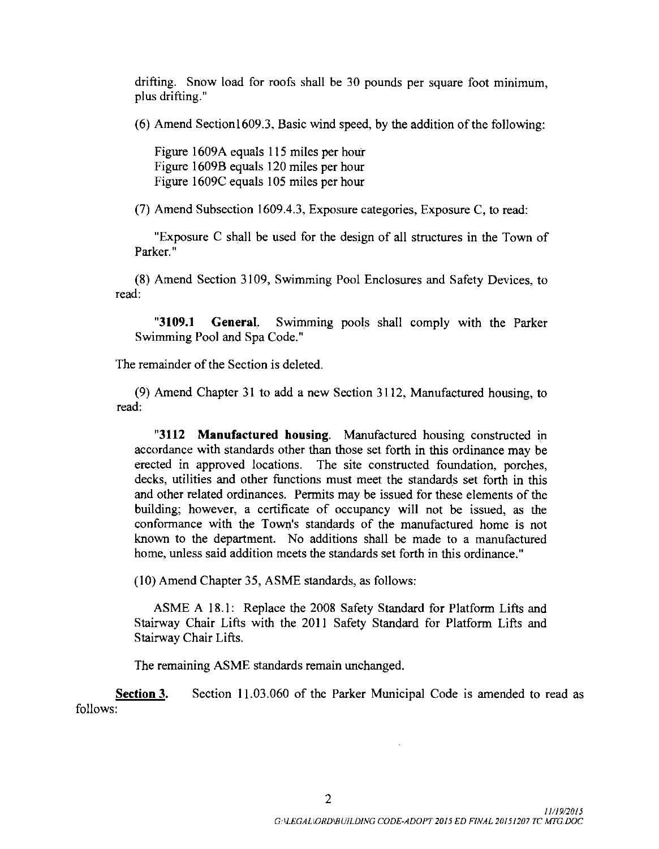drifting. Snow load for roofs shall be 30 pounds per square foot minimum, plus drifting."

6) Amend Section1609.3, Basic wind speed, by the addition of the following:

Figure 1609A equals 115 miles per hour Figure 1609B equals 120 miles per hour Figure 1609C equals 105 miles per hour

7) Amend Subsection 1609.4. 3, Exposure categories, Exposure C, to read:

Exposure C shall be used for the design of all structures in the Town of Parker."

8) Amend Section 3109, Swimming Pool Enclosures and Safety Devices, to read:

"3109.1 General. Swimming pools shall comply with the Parker Swimming Pool and Spa Code."

The remainder of the Section is deleted.

9) Amend Chapter 31 to add a new Section 3112, Manufactured housing, to read:

3112 Manufactured housing. Manufactured housing constructed in accordance with standards other than those set forth in this ordinance may be erected in approved locations. The site constructed foundation, porches, decks, utilities and other functions must meet the standards set forth in this and other related ordinances. Permits may be issued for these elements of the building; however, a certificate of occupancy will not be issued, as the conformance with the Town's standards of the manufactured home is not known to the department. No additions shall be made to a manufactured home, unless said addition meets the standards set forth in this ordinance."

10) Amend Chapter 35, ASME standards, as follows:

ASME A 18.1: Replace the 2008 Safety Standard for Platform Lifts and Stairway Chair Lifts with the 2011 Safety Standard for Platform Lifts and Stairway Chair Lifts.

The remaining ASME standards remain unchanged.

Section 3. Section 11.03.060 of the Parker Municipal Code is amended to read as follows:

11/19/2015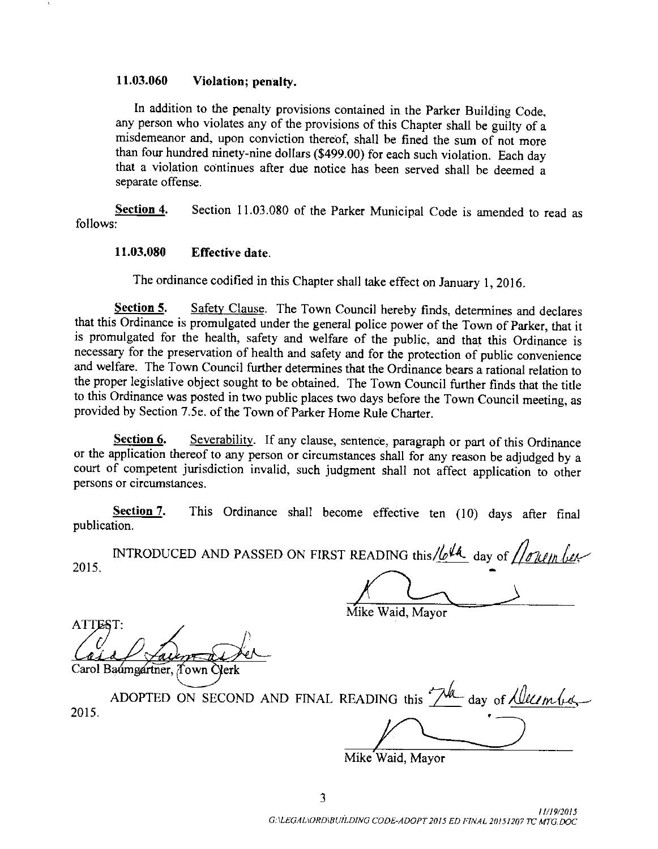## 11. 03. 060 Violation; penalty.

In addition to the penalty provisions contained in the Parker Building Code, any person who violates any of the provisions of this Chapter shall be guilty of <sup>a</sup> misdemeanor and, upon conviction thereof, shall be fined the sum of not more than four hundred ninety-nine dollars (\$499.00) for each such violation. Each day that a violation continues after due notice has been served shall be deemed a separate offense.

Section 4. Section 11.03.080 of the Parker Municipal Code is amended to read as follows:

## 11. 03.080 Effective date.

The ordinance codified in this Chapter shall take effect on January 1, 2016.

Section 5. Safety Clause. The Town Council hereby finds, determines and declares that this Ordinance is promulgated under the general police power of the Town of Parker, that it is promulgated for the health, safety and welfare of the public, and that this Ordinance is necessary for the preservation of health and safety and for the protection of public convenience and welfare. The Town Council further determines that the Ordinance bears a rational relation to the proper legislative object sought to be obtained. The Town Council further finds that the title to this Ordinance was posted in two public places two days before the Town Council meeting, as provided by Section 7. 5e. of the Town of Parker Home Rule Charter.

Section 6. Severability. If any clause, sentence, paragraph or part of this Ordinance or the application thereof to any person or circumstances shall for any reason be adjudged by <sup>a</sup> court of competent jurisdiction invalid, such judgment shall not affect application to other persons or circumstances.

Section 7. This Ordinance shall become effective ten (10) days after final publication.

INTRODUCED AND PASSED ON FIRST READING this/ $\ell_0$ <sup>14</sup> day of  $\ell_0$  and  $\ell_1$ 2015.

ATTEST: a. Carol Baumgartner, Town Clerk

Mike Waid, Mayor

2015. ADOPTED ON SECOND AND FINAL READING this  $\sqrt{m}$  day of  $\sqrt{m}$  (i.e.,

Mike Waid, Mayor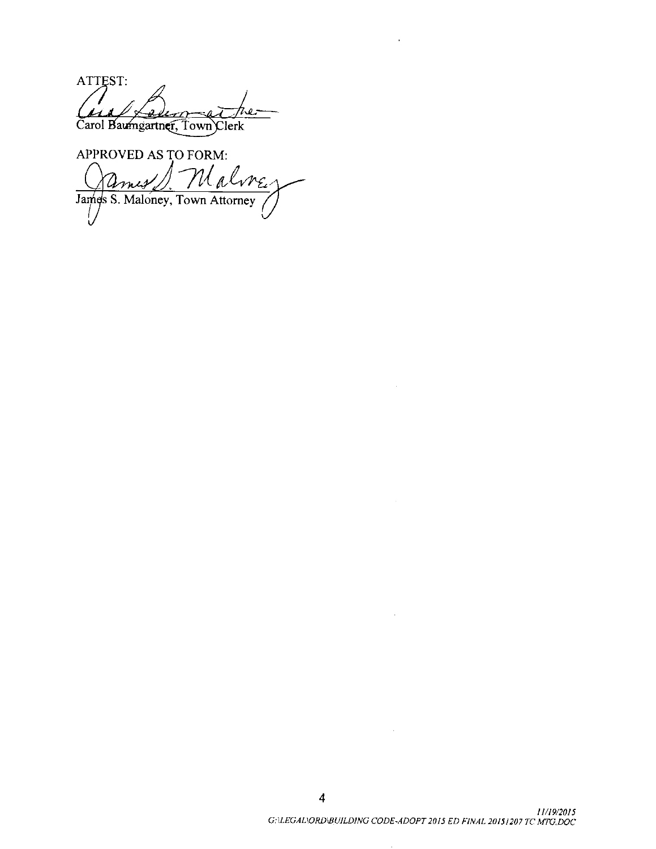ATTEST: Carol Baumgartner, Town Clerk

APPROVED AS TO FORM: s S. Maloney, Town Attorney

4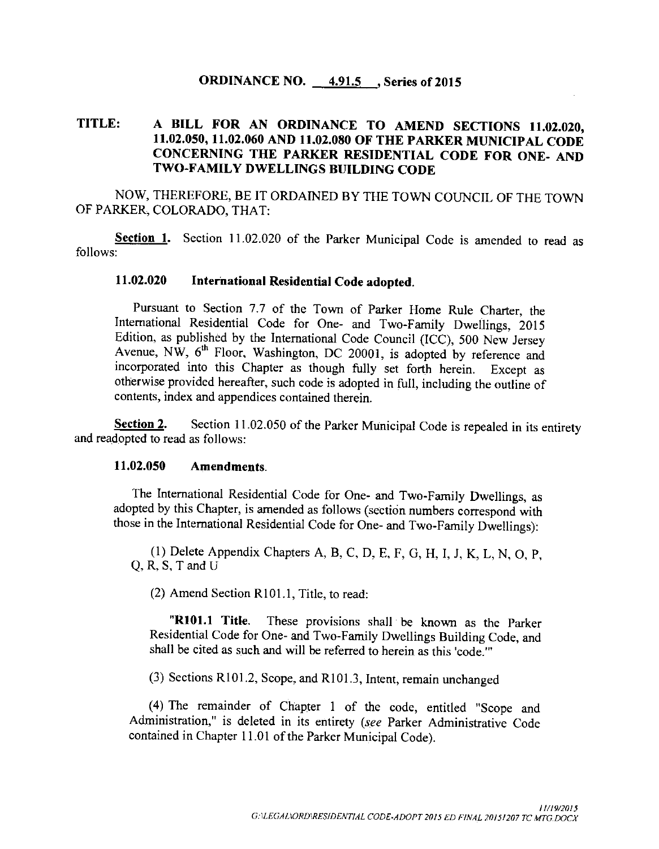# ORDINANCE NO. 4.91.5 , Series of 2015

# TITLE: <sup>A</sup> BILL FOR AN ORDINANCE TO AMEND SECTIONS 11. 02.020, 11. 02.050, 11. 02.060 AND 11. 02.080 OF THE PARKER MUNICIPAL CODE CONCERNING THE PARKER RESIDENTIAL CODE FOR ONE- AND TWO-FAMILY DWELLINGS BUILDING CODE

NOW, THEREFORE, BE IT ORDAINED BY THE TOWN COUNCIL OF THE TOWN OF PARKER, COLORADO, THAT:

Section 1. Section 11.02.020 of the Parker Municipal Code is amended to read as follows:

## 11. 02.020 International Residential Code adopted.

Pursuant to Section 7.7 of the Town of Parker Home Rule Charter, the International Residential Code for One- and Two -Family Dwellings, 2015 Edition, as published by the International Code Council ( ICC), 500 New Jersey Avenue, NW, 6<sup>th</sup> Floor, Washington, DC 20001, is adopted by reference and incorporated into this Chapter as though fully set forth herein. Except as otherwise provided hereafter, such code is adopted in full, including the outline of contents, index and appendices contained therein.

Section 2. Section 11.02.050 of the Parker Municipal Code is repealed in its entirety and readopted to read as follows:

### 11. 02.050 Amendments.

The International Residential Code for One- and Two -Family Dwellings, as adopted by this Chapter, is amended as follows (section numbers correspond with those in the International Residential Code for One- and Two -Family Dwellings):

1) Delete Appendix Chapters A, B, C, D, E, F, G, H, I, J, K, L, N, 0, P, Q, R, S, T and U

 $(2)$  Amend Section R101.1, Title, to read:

"R101.1 Title. These provisions shall be known as the Parker Residential Code for One- and Two -Family Dwellings Building Code, and shall be cited as such and will be referred to herein as this 'code."'

(3) Sections R101.2, Scope, and R101.3, Intent, remain unchanged

(4) The remainder of Chapter 1 of the code, entitled "Scope and Administration," is deleted in its entirety (see Parker Administrative Code contained in Chapter 11. <sup>01</sup> of the Parker Municipal Code).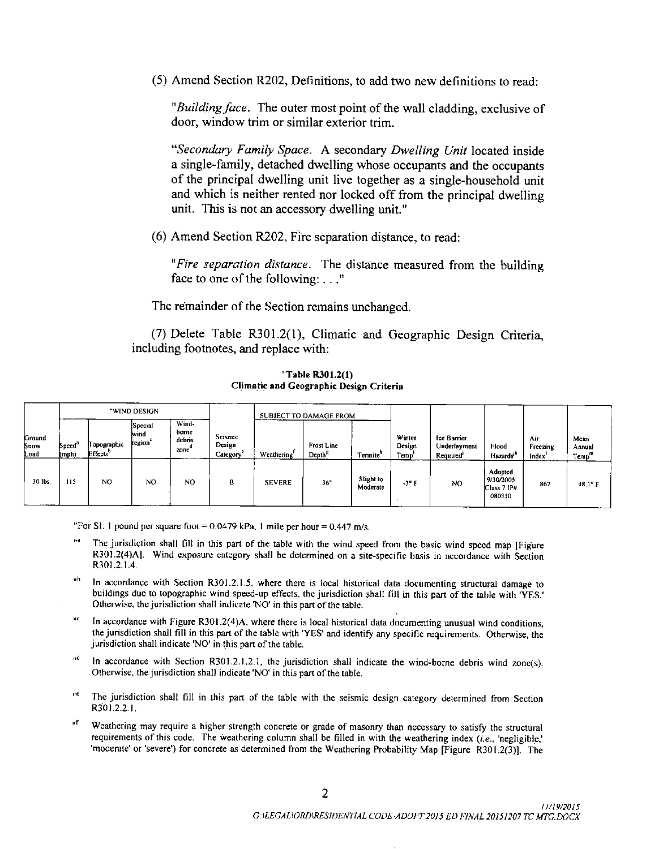5) Amend Section R202, Definitions, to add two new definitions to read:

"Building face. The outer most point of the wall cladding, exclusive of door, window trim or similar exterior trim.

Secondary Family Space. A secondary Dwelling Unit located inside a single- family, detached dwelling whose occupants and the occupants of the principal dwelling unit live together as <sup>a</sup> single -household unit and which is neither rented nor locked off from the principal dwelling unit. This is not an accessory dwelling unit."

6) Amend Section R202, Fire separation distance, to read:

"Fire separation distance. The distance measured from the building face to one of the following:..."

The remainder of the Section remains unchanged.

(7) Delete Table R301.2(1), Climatic and Geographic Design Criteria, including footnotes, and replace with:

|                        | "WIND DESIGN                       |                                     |                                               |                                  | SUBJECT TO DAMAGE FROM        |               |                                         |                       |                          |                                         |                                               |                                       |                                     |
|------------------------|------------------------------------|-------------------------------------|-----------------------------------------------|----------------------------------|-------------------------------|---------------|-----------------------------------------|-----------------------|--------------------------|-----------------------------------------|-----------------------------------------------|---------------------------------------|-------------------------------------|
| iround<br>inow<br>.oad | - 2<br>Speed <sup>*</sup><br>(mph) | Topographic<br>Effects <sup>®</sup> | <b>Special</b><br>wind<br>region <sup>-</sup> | Wind-<br>borne<br>debris<br>zone | Seismic<br>Design<br>Category | Weathering    | <b>Frost Line</b><br>Depth <sup>"</sup> | Tennite <sup>"</sup>  | Winter<br>Design<br>Temp | Ice Barrier<br>Underlavment<br>Required | Flood<br>Hazards <sup>i</sup>                 | Air<br>Freezing<br>Index <sup>'</sup> | Меал<br>Annual<br>Temp <sup>m</sup> |
| 30 lbs.                | 115                                | NO.                                 | NO <sub>1</sub>                               | N0                               | в                             | <b>SEVERE</b> | 36"                                     | Slight to<br>Moderate | -3° F                    | N <sub>O</sub>                          | Adonted<br>9/30/2005<br>Class 7 IP#<br>080310 | 867                                   | $48.1^\circ$ F                      |

"Table R301.2(1) Climatic and Geographic Design Criteria

"For SI: 1 pound per square foot =  $0.0479$  kPa, 1 mile per hour =  $0.447$  m/s.

Grou Snor

- The jurisdiction shall fill in this part of the table with the wind speed from the basic wind speed map [Figure R301.2(4)A]. Wind exposure category shall be determined on a site-specific basis in accordance with Section  $R301.2.1.4.$
- $n<sub>b</sub>$ In accordance with Section R301.2.1.5, where there is local historical data documenting structural damage to buildings due to topographic wind speed-up effects, the jurisdiction shall fill in this part of the table with 'YES.' Otherwise, the jurisdiction shall indicate 'NO' in this part of the table.
- Ile In accordance with Figure R301.2(4)A, where there is local historical data documenting unusual wind conditions, the jurisdiction shall fill in this part of the table with 'YES' and identify any specific requirements. Otherwise, the jurisdiction shall indicate 'NO' in this part of the table.
- nd. In accordance with Section R301.2.1.2.1, the jurisdiction shall indicate the wind-borne debris wind zone(s). Otherwise, the jurisdiction shall indicate 'NO' in this part of the table.
- **it**e The jurisdiction shall fill in this part of the table with the seismic design category determined from Section R301.2.2.1.
- $\mathbf{u}$ f Weathering may require a higher strength concrete or grade of masonry than necessary to satisfy the structural requirements of this code. The weathering column shall be filled in with the weathering index  $(i.e., 'negligible.'$ 'moderate' or 'severe') for concrete as determined from the Weathering Probability Map [Figure R301.2(3)]. The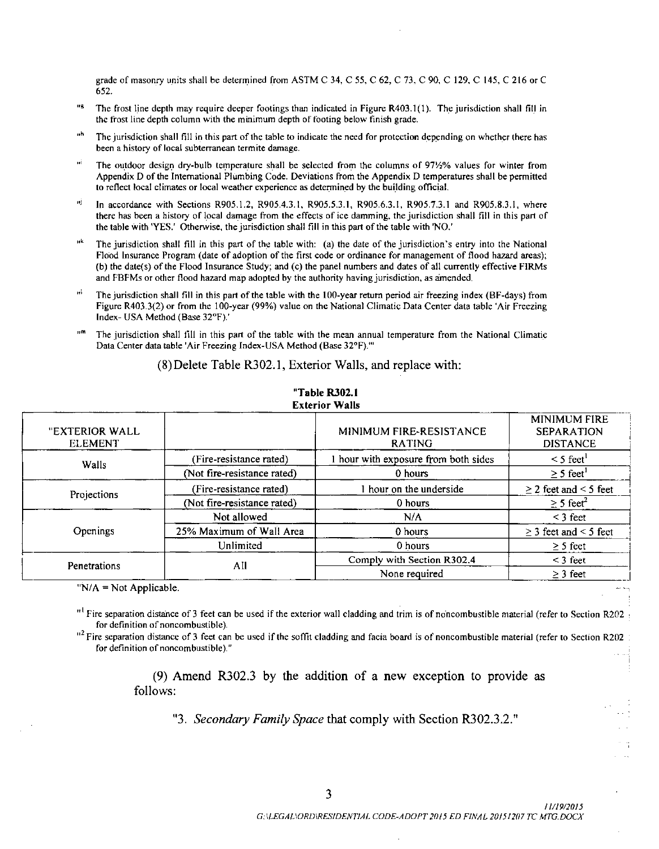grade of masonry units shall be determined from ASTM C 34, C 55, C 62, C 73, C 90, C 129, C 145, C 216 or C 652.

- s The frost line depth may require deeper footings than indicated in Figure R403. 1( 1). The jurisdiction shall fill in the frost line depth column with the minimum depth of footing below finish grade
- пh The jurisdiction shall fill in this part of the table to indicate the need for protection depending on whether there has been a history of local subterranean termite damage
- нi The outdoor design dry-bulb temperature shall be selected from the columns of 971/2% values for winter from Appendix D of the International Plumbing Code. Deviations from the Appendix D temperatures shall be permitted to reflect local climates or local weather experience as determined by the building official.
- нj In accordance with Sections R905.1.2, R905.4.3.1, R905.5.3.1, R905.6.3.1, R905.7.3.1 and R905.8.3.1, where there has been <sup>a</sup> history of local damage from the effects of ice damming, the jurisdiction shall till in this part of the table with 'YES.' Otherwise, the jurisdiction shall fill in this part of the table with 'NO.'
- uk The jurisdiction shall fill in this part of the table with: (a) the date of the jurisdiction's entry into the National Flood Insurance Program (date of adoption of the first code or ordinance for management of flood hazard areas); b) the date(s) of the Flood Insurance Study; and ( c) the panel numbers and dates of all currently effective FIRMs and FBFMs or other flood hazard map adopted by the authority having jurisdiction, as amended.
- пł The jurisdiction shall fill in this part of the table with the 100-year return period air freezing index (BF-days) from Figure R403.3(2) or from the 100-year (99%) value on the National Climatic Data Center data table 'Air Freezing Index- USA Method ( Base 32° F).'
- The jurisdiction shall fill in this part of the table with the mean annual temperature from the National Climatic Data Center data table 'Air Freezing Index-USA Method (Base 32°F)."

8) Delete Table R302. 1, Exterior Walls, and replace with:

| "EXTERIOR WALL<br><b>ELEMENT</b> |                             | MINIMUM FIRE-RESISTANCE<br><b>RATING</b> | <b>MINIMUM FIRE</b><br><b>SEPARATION</b><br><b>DISTANCE</b> |
|----------------------------------|-----------------------------|------------------------------------------|-------------------------------------------------------------|
| Walls                            | (Fire-resistance rated)     | I hour with exposure from both sides     | $\leq$ 5 feet <sup>1</sup>                                  |
|                                  | (Not fire-resistance rated) | 0 hours                                  | $\geq$ 5 feet <sup>1</sup>                                  |
| Projections                      | (Fire-resistance rated)     | 1 hour on the underside                  | $\geq$ 2 feet and < 5 feet                                  |
|                                  | (Not fire-resistance rated) | 0 hours                                  | $\geq$ 5 feet <sup>2</sup>                                  |
|                                  | Not allowed                 | N/A                                      | $<$ 3 feet                                                  |
| Openings                         | 25% Maximum of Wall Area    | 0 hours                                  | $\geq$ 3 feet and < 5 feet                                  |
|                                  | Unlimited                   | 0 hours                                  | $\geq$ 5 feet                                               |
| Penetrations                     | All                         | Comply with Section R302.4               | $<$ 3 feet                                                  |
|                                  |                             | None required                            | $\geq$ 3 feet                                               |

#### Table 8302. <sup>1</sup> Exterior Walls

" $N/A$  = Not Applicable.

 $^{11}$  Fire separation distance of 3 feet can be used if the exterior wall cladding and trim is of noncombustible material (refer to Section R202). for definition of noncombustible).

 $^{12}$  Fire separation distance of 3 feet can be used if the soffit cladding and facia board is of noncombustible material (refer to Section R202 : for definition of noncombustible)."

> 9) Amend R302.3 by the addition of a new exception to provide as follows:

"3. Secondary Family Space that comply with Section R302.3.2."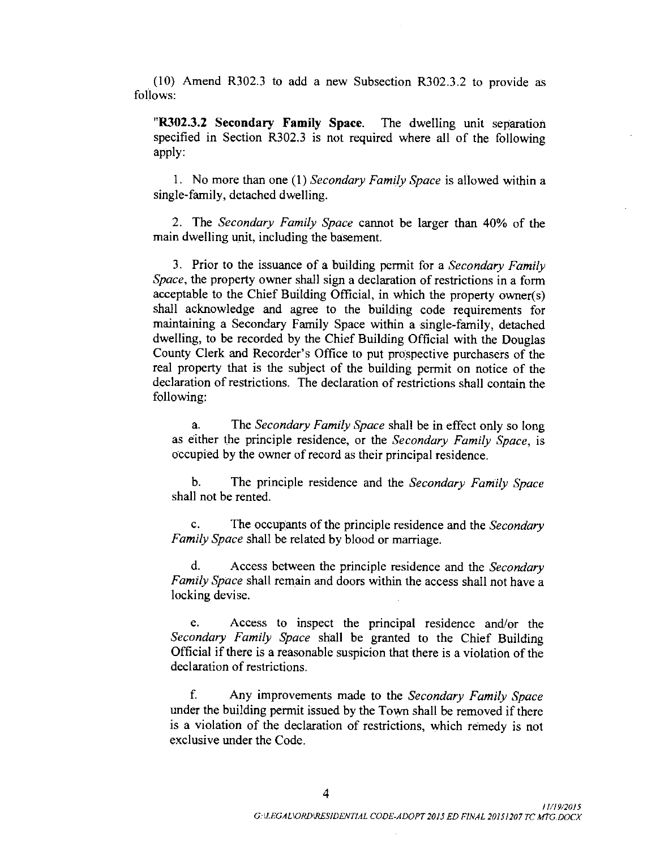10) Amend R302.3 to add a new Subsection R302.3. 2 to provide as follows:

"R302.3.2 Secondary Family Space. The dwelling unit separation specified in Section R302.3 is not required where all of the following apply:

1. No more than one (1) Secondary Family Space is allowed within a single-family, detached dwelling.

2. The Secondary Family Space cannot be larger than 40% of the main dwelling unit, including the basement.

3. Prior to the issuance of a building permit for a *Secondary Family* Space, the property owner shall sign <sup>a</sup> declaration of restrictions in a form acceptable to the Chief Building Official, in which the property owner(s) shall acknowledge and agree to the building code requirements for maintaining a Secondary Family Space within a single-family, detached dwelling, to be recorded by the Chief Building Official with the Douglas County Clerk and Recorder's Office to put prospective purchasers of the real property that is the subject of the building permit on notice of the declaration of restrictions. The declaration of restrictions shall contain the following:

a. The Secondary Family Space shall be in effect only so long as either the principle residence, or the Secondary Family Space, is occupied by the owner of record as their principal residence.

b. The principle residence and the Secondary Family Space shall not be rented.

c. The occupants of the principle residence and the Secondary Family Space shall be related by blood or marriage.

d. Access between the principle residence and the Secondary Family Space shall remain and doors within the access shall not have a locking devise.

e. Access to inspect the principal residence and/or the Secondary Family Space shall be granted to the Chief Building Official if there is <sup>a</sup> reasonable suspicion that there is <sup>a</sup> violation of the declaration of restrictions.

f. Any improvements made to the Secondary Family Space under the building permit issued by the Town shall be removed if there is <sup>a</sup> violation of the declaration of restrictions, which remedy is not exclusive under the Code.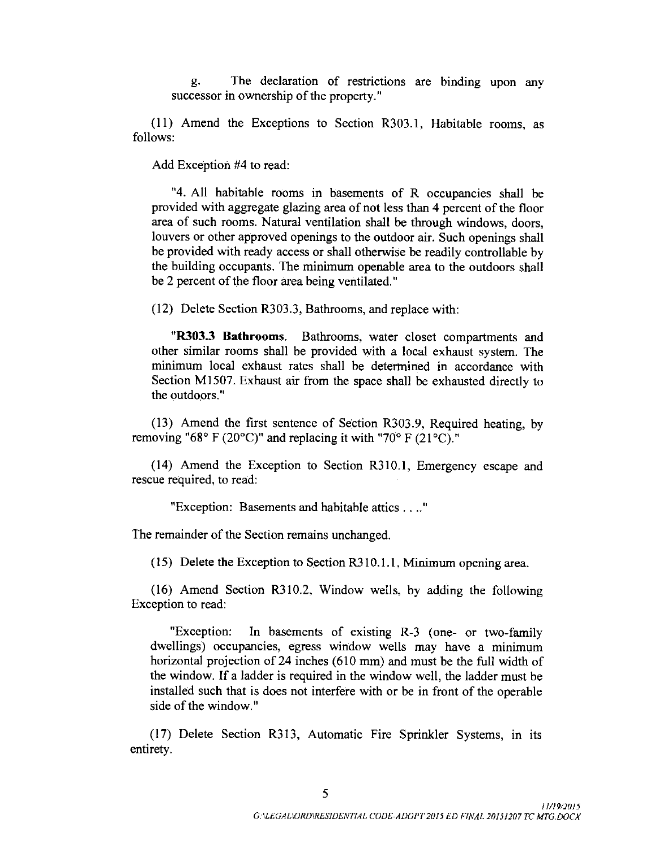g. The declaration of restrictions are binding upon any successor in ownership of the property."

11) Amend the Exceptions to Section R303. 1, Habitable rooms, as follows:

Add Exception #4 to read:

4. All habitable rooms in basements of R occupancies shall be provided with aggregate glazing area of not less than 4 percent of the floor area of such rooms. Natural ventilation shall be through windows, doors, louvers or other approved openings to the outdoor air. Such openings shall be provided with ready access or shall otherwise be readily controllable by the building occupants. The minimum openable area to the outdoors shall be <sup>2</sup> percent of the floor area being ventilated."

12) Delete Section R303. 3, Bathrooms, and replace with:

"R303.3 Bathrooms. Bathrooms, water closet compartments and other similar rooms shall be provided with a local exhaust system. The minimum local exhaust rates shall be determined in accordance with Section M1507. Exhaust air from the space shall be exhausted directly to the outdoors."

13) Amend the first sentence of Section R303. 9, Required heating, by removing "68° F (20°C)" and replacing it with "70° F (21°C)."

(14) Amend the Exception to Section R310.1, Emergency escape and rescue required, to read:

Exception: Basements and habitable attics ...."

The remainder of the Section remains unchanged.

15) Delete the Exception to Section R310. 1. 1, Minimum opening area.

16) Amend Section R310.2, Window wells, by adding the following Exception to read:

"Exception: In basements of existing R-3 (one- or two-family dwellings) occupancies, egress window wells may have a minimum horizontal projection of 24 inches (610 mm) and must be the full width of the window. If <sup>a</sup> ladder is required in the window well, the ladder must be installed such that is does not interfere with or be in front of the operable side of the window."

17) Delete Section R313, Automatic Fire Sprinkler Systems, in its entirety.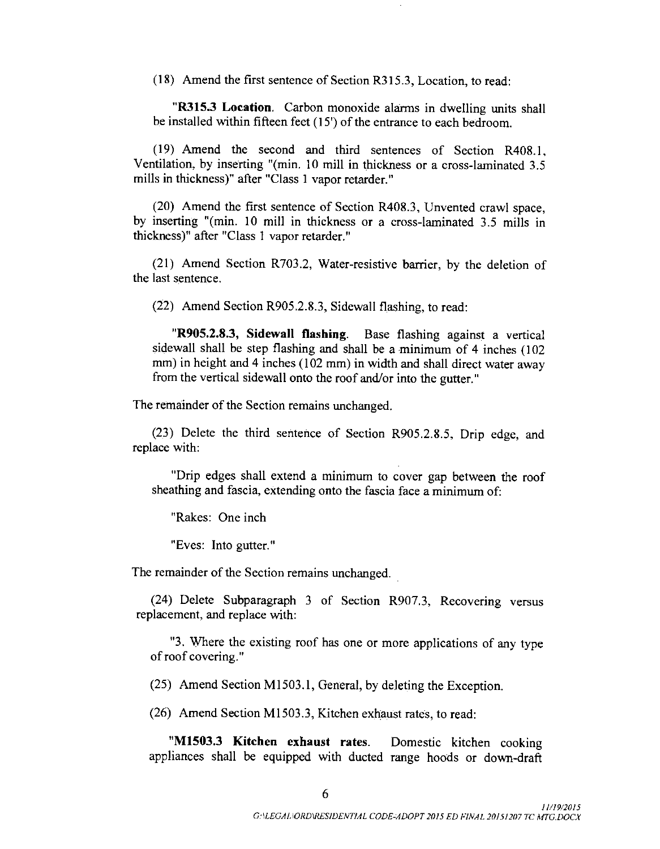18) Amend the first sentence of Section R315.3, Location, to read:

R315.3 Location. Carbon monoxide alarms in dwelling units shall be installed within fifteen feet ( 15') of the entrance to each bedroom.

19) Amend the second and third sentences of Section R408. 1, Ventilation, by inserting "(min. 10 mill in thickness or a cross-laminated 3.5 mills in thickness)" after "Class <sup>1</sup> vapor retarder."

20) Amend the first sentence of Section R408. 3, Unvented crawl space, by inserting "(min. 10 mill in thickness or a cross-laminated 3.5 mills in thickness)" after "Class <sup>1</sup> vapor retarder."

(21) Amend Section R703.2, Water-resistive barrier, by the deletion of the last sentence.

22) Amend Section R905. 2. 8. 3, Sidewall flashing, to read:

R905.2.8.3, Sidewall flashing. Base flashing against <sup>a</sup> vertical sidewall shall be step flashing and shall be <sup>a</sup> minimum of 4 inches ( 102 mm) in height and 4 inches (102 mm) in width and shall direct water away from the vertical sidewall onto the roof and/or into the gutter."

The remainder of the Section remains unchanged.

(23) Delete the third sentence of Section R905.2.8.5, Drip edge, and replace with:

Drip edges shall extend a minimum to cover gap between the roof sheathing and fascia, extending onto the fascia face a minimum of:

Rakes: One inch

Eves: Into gutter."

The remainder of the Section remains unchanged.

(24) Delete Subparagraph 3 of Section R907.3, Recovering versus replacement, and replace with:

3. Where the existing roof has one or more applications of any type of roof covering."

25) Amend Section M1503. 1, General, by deleting the Exception.

26) Amend Section M1503. 3, Kitchen exhaust rates, to read:

M1503.<sup>3</sup> Kitchen exhaust rates. Domestic kitchen cooking appliances shall be equipped with ducted range hoods or down -draft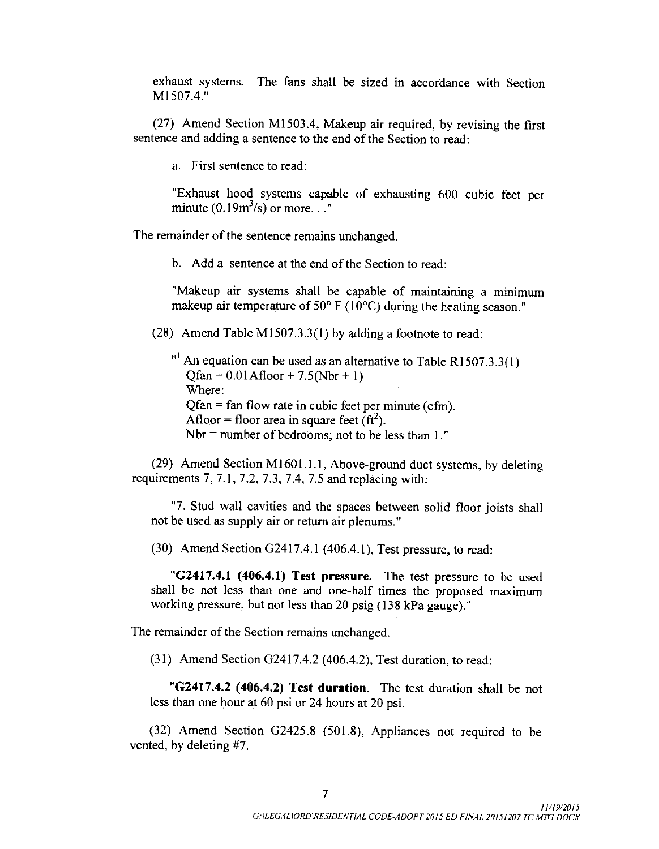exhaust systems. The fans shall be sized in accordance with Section M1507.4 "

27) Amend Section M1503.4, Makeup air required, by revising the first sentence and adding <sup>a</sup> sentence to the end of the Section to read:

a. First sentence to read:

Exhaust hood systems capable of exhausting 600 cubic feet per minute  $(0.19m^3/s)$  or more..."

The remainder of the sentence remains unchanged.

b. Add a sentence at the end of the Section to read.

Makeup air systems shall be capable of maintaining a minimum makeup air temperature of  $50^{\circ}$  F (10 $^{\circ}$ C) during the heating season."

28) Amend Table M1507.3. 3( 1) by adding <sup>a</sup> footnote to read:

 $1<sup>1</sup>$  An equation can be used as an alternative to Table R1507.3.3(1)  $Ofan = 0.01$  Afloor + 7.5(Nbr + 1) Where: Qfan = fan flow rate in cubic feet per minute (cfm). Afloor = floor area in square feet  $(ft^2)$ . Nbr  $=$  number of bedrooms; not to be less than 1."

(29) Amend Section M1601.1.1, Above-ground duct systems, by deleting requirements  $7, 7.1, 7.2, 7.3, 7.4, 7.5$  and replacing with:

7. Stud wall cavities and the spaces between solid floor joists shall not be used as supply air or return air plenums."

 $(30)$  Amend Section G2417.4.1  $(406.4.1)$ , Test pressure, to read:

"G2417.4.1 (406.4.1) Test pressure. The test pressure to be used shall be not less than one and one-half times the proposed maximum working pressure, but not less than 20 psig ( 138 kPa gauge)."

The remainder of the Section remains unchanged.

 $(31)$  Amend Section G2417.4.2 (406.4.2), Test duration, to read:

"G2417.4.2 (406.4.2) Test duration. The test duration shall be not less than one hour at 60 psi or 24 hours at 20 psi.

 $(32)$  Amend Section G2425.8  $(501.8)$ , Appliances not required to be vented, by deleting #7.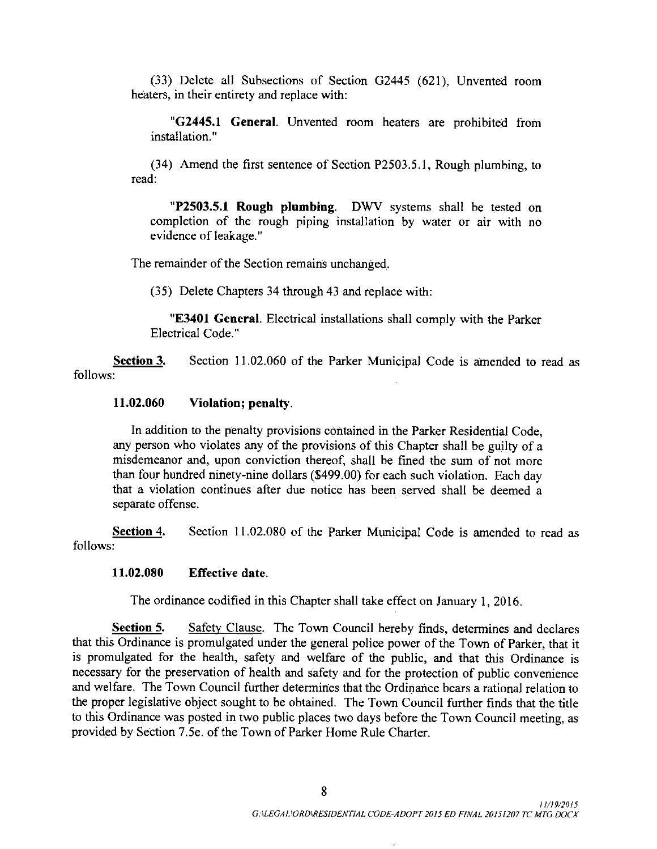33) Delete all Subsections of Section G2445 ( 621), Unvented room heaters, in their entirety and replace with:

"G2445.1 General. Unvented room heaters are prohibited from installation."

34) Amend the first sentence of Section P2503. 5. 1, Rough plumbing, to read:

**P2503.5.1 Rough plumbing.** DWV systems shall be tested on completion of the rough piping installation by water or air with no evidence of leakage."

The remainder of the Section remains unchanged.

35) Delete Chapters 34 through 43 and replace with:

"E3401 General. Electrical installations shall comply with the Parker Electrical Code."

Section 3. Section 11.02.060 of the Parker Municipal Code is amended to read as follows:

#### 11. 02.060 Violation; penalty.

In addition to the penalty provisions contained in the Parker Residential Code, any person who violates any of the provisions of this Chapter shall be guilty of <sup>a</sup> misdemeanor and, upon conviction thereof, shall be fined the sum of not more than four hundred ninety-nine dollars (\$499.00) for each such violation. Each day that a violation continues after due notice has been served shall be deemed a separate offense.

Section 4. Section 11.02.080 of the Parker Municipal Code is amended to read as follows:

### 11. 02. 080 Effective date.

The ordinance codified in this Chapter shall take effect on January 1, 2016.

Section 5. Safety Clause. The Town Council hereby finds, determines and declares that this Ordinance is promulgated under the general police power of the Town of Parker, that it is promulgated for the health, safety and welfare of the public, and that this Ordinance is necessary for the preservation of health and safety and for the protection of public convenience and welfare. The Town Council further determines that the Ordinance bears a rational relation to the proper legislative object sought to be obtained. The Town Council further finds that the title to this Ordinance was posted in two public places two days before the Town Council meeting, as provided by Section 7. 5e. of the Town of Parker Home Rule Charter.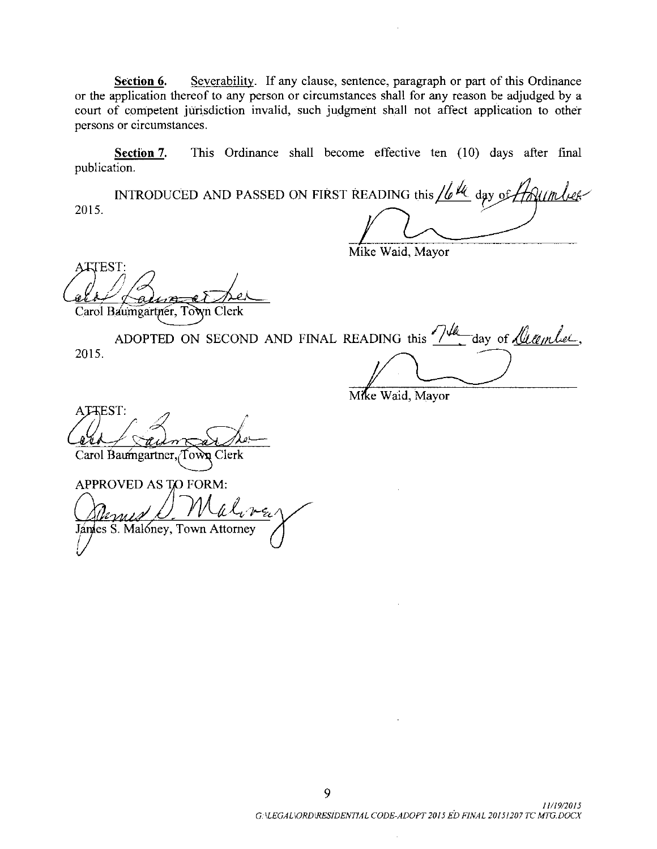Section 6. Severability. If any clause, sentence, paragraph or part of this Ordinance or the application thereof to any person or circumstances shall for any reason be adjudged by a court of competent jurisdiction invalid, such judgment shall not affect application to other persons or circumstances.

Section 7. This Ordinance shall become effective ten (10) days after final publication.

INTRODUCED AND PASSED ON FIRST READING this  $\sqrt{b^{1/4}}$  day of  $H$  of  $m$  begones 2015.

Mike Waid, Mayor Mike

ATTEST: Carol Baumgartner, Town Clerk

ADOPTED ON SECOND AND FINAL READING this  $\frac{7}{4}$  day of <u>Meether</u> 2015.

Mike Waid, Mayor

ATTEST: Carol Baumgartner, Town Clerk

APPROVED AS TO FORM: Jánies S. Malóney, Town Attorney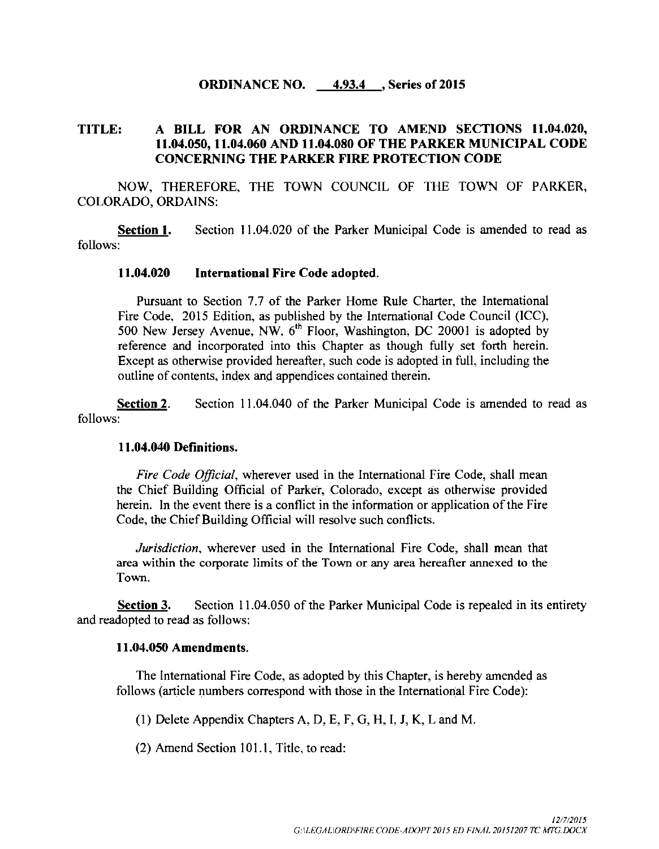### **ORDINANCE NO.** 4.93.4 , Series of 2015

# TITLE: A BILL FOR AN ORDINANCE TO AMEND SECTIONS 11. 04.020, 11. 04.050, 11. 04.060 AND 11. 04.080 OF THE PARKER MUNICIPAL CODE CONCERNING THE PARKER FIRE PROTECTION CODE

NOW, THEREFORE, THE TOWN COUNCIL OF THE TOWN OF PARKER, COLORADO, ORDAINS:

Section 1. Section 11.04.020 of the Parker Municipal Code is amended to read as follows:

### 11. 04.020 International Fire Code adopted.

Pursuant to Section 7.7 of the Parker Home Rule Charter, the International Fire Code, 2015 Edition, as published by the International Code Council (ICC), 500 New Jersey Avenue, NW,  $6<sup>th</sup>$  Floor, Washington, DC 20001 is adopted by reference and incorporated into this Chapter as though fully set forth herein. Except as otherwise provided hereafter, such code is adopted in full, including the outline of contents, index and appendices contained therein.

Section 2. Section 11.04.040 of the Parker Municipal Code is amended to read as follows:

### 11. 04.040 Definitions.

Fire Code Official, wherever used in the International Fire Code, shall mean the Chief Building Official of Parker, Colorado, except as otherwise provided herein. In the event there is <sup>a</sup> conflict in the information or application of the Fire Code, the Chief Building Official will resolve such conflicts.

Jurisdiction, wherever used in the International Fire Code, shall mean that area within the corporate limits of the Town or any area hereafter annexed to the Town.

Section 3. Section 11.04.050 of the Parker Municipal Code is repealed in its entirety and readopted to read as follows:

#### 11. 04.050 Amendments.

The International Fire Code, as adopted by this Chapter, is hereby amended as follows (article numbers correspond with those in the International Fire Code):

1) Delete Appendix Chapters A, D, E, F, G, H, I, J, K, L and M.

(2) Amend Section 101.1, Title, to read: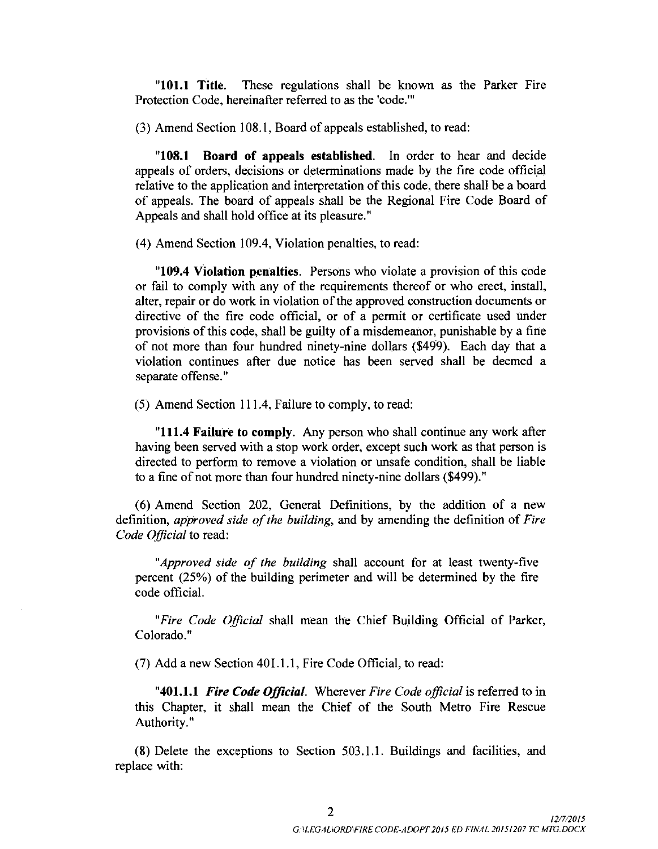"101.1 Title. These regulations shall be known as the Parker Fire Protection Code, hereinafter referred to as the 'code.'"

3) Amend Section 108. 1, Board of appeals established, to read:

108. <sup>1</sup> Board of appeals established. In order to hear and decide appeals of orders, decisions or determinations made by the fire code official relative to the application and interpretation of this code, there shall be <sup>a</sup> board of appeals. The board of appeals shall be the Regional Fire Code Board of Appeals and shall hold office at its pleasure."

4) Amend Section 109.4, Violation penalties, to read:

109.4 Violation penalties. Persons who violate <sup>a</sup> provision of this code or fail to comply with any of the requirements thereof or who erect, install, alter, repair or do work in violation of the approved construction documents or directive of the fire code official, or of <sup>a</sup> permit or certificate used under provisions of this code, shall be guilty of <sup>a</sup> misdemeanor, punishable by <sup>a</sup> fine of not more than four hundred ninety-nine dollars (\$499). Each day that a violation continues after due notice has been served shall be deemed a separate offense."

5) Amend Section 111. 4. Failure to comply, to read:

"111.4 Failure to comply. Any person who shall continue any work after having been served with a stop work order, except such work as that person is directed to perform to remove a violation or unsafe condition, shall be liable to <sup>a</sup> fine of not more than four hundred ninety- nine dollars (\$499)."

6) Amend Section 202, General Definitions, by the addition of <sup>a</sup> new definition, *approved side of the building*, and by amending the definition of *Fire* Code Official to read:

"Approved side of the building shall account for at least twenty-five percent ( 25%) of the building perimeter and will be determined by the fire code official.

"Fire Code Official shall mean the Chief Building Official of Parker, Colorado."

7) Add <sup>a</sup> new Section 401. 1. 1, Fire Code Official, to read:

**"401.1.1 Fire Code Official.** Wherever Fire Code official is referred to in this Chapter, it shall mean the Chief of the South Metro Fire Rescue Authority."

8) Delete the exceptions to Section 503. 1. 1. Buildings and facilities, and replace with: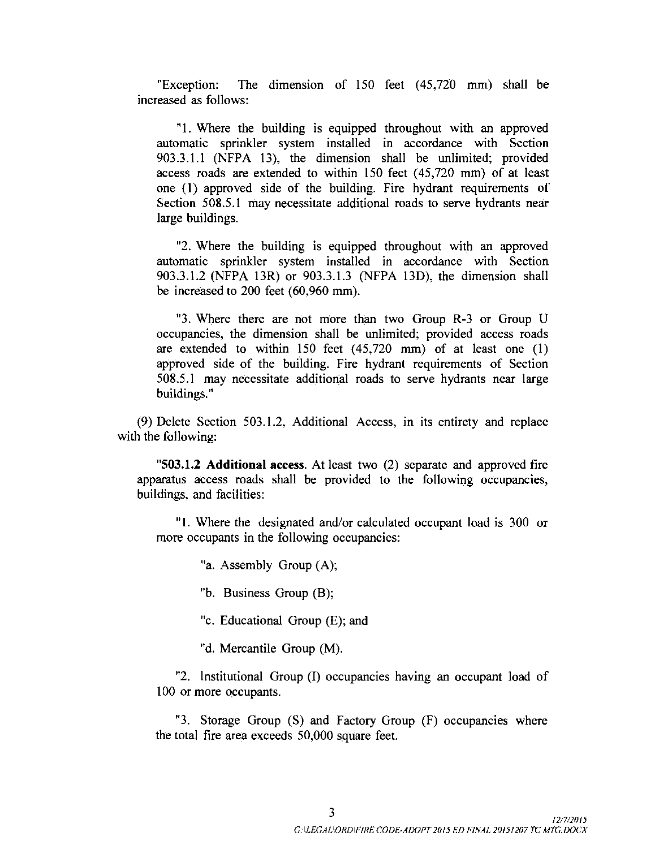"Exception: The dimension of 150 feet (45,720 mm) shall be increased as follows:

1. Where the building is equipped throughout with an approved automatic sprinkler system installed in accordance with Section 903.3.1.1 (NFPA 13), the dimension shall be unlimited; provided access roads are extended to within 150 feet (45,720 mm) of at least one ( 1) approved side of the building. Fire hydrant requirements of Section 508.5.1 may necessitate additional roads to serve hydrants near large buildings.

2. Where the building is equipped throughout with an approved automatic sprinkler system installed in accordance with Section 903.3.1.2 (NFPA 13R) or 903.3.1.3 (NFPA 13D), the dimension shall be increased to  $200$  feet  $(60,960 \text{ mm})$ .

"3. Where there are not more than two Group R-3 or Group U occupancies, the dimension shall be unlimited; provided access roads are extended to within  $150$  feet  $(45,720 \text{ mm})$  of at least one  $(1)$ approved side of the building. Fire hydrant requirements of Section 508. 5. <sup>1</sup> may necessitate additional roads to serve hydrants near large buildings."

9) Delete Section 503. 1. 2, Additional Access, in its entirety and replace with the following:

"503.1.2 Additional access. At least two (2) separate and approved fire apparatus access roads shall be provided to the following occupancies, buildings, and facilities:

"1. Where the designated and/or calculated occupant load is 300 or more occupants in the following occupancies:

"a. Assembly Group (A);

"b. Business Group (B);

"c. Educational Group  $(E)$ ; and

"d. Mercantile Group (M).

"2. Institutional Group (I) occupancies having an occupant load of 100 or more occupants.

"3. Storage Group  $(S)$  and Factory Group  $(F)$  occupancies where the total fire area exceeds 50,000 square feet.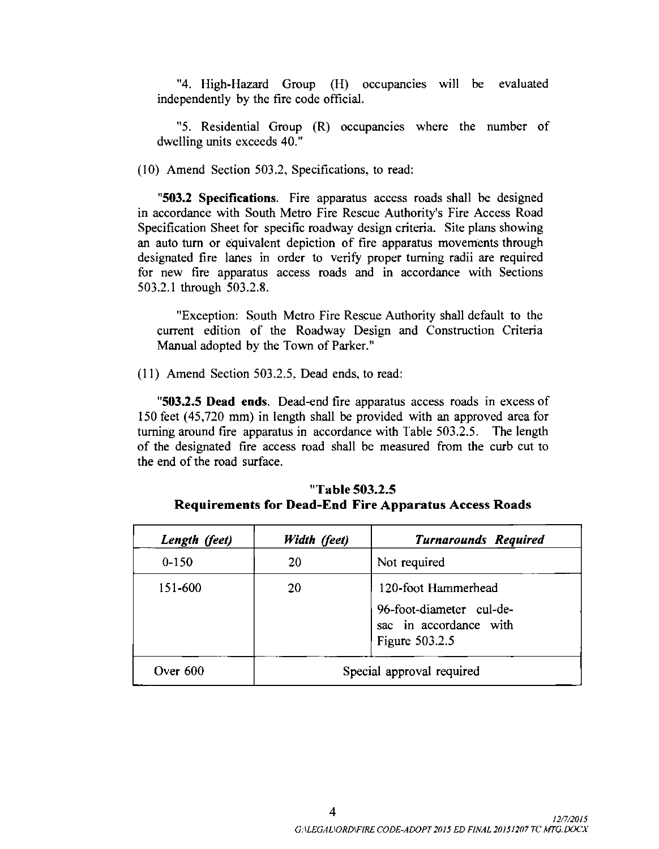"4. High-Hazard Group (H) occupancies will be evaluated independently by the fire code official.

"5. Residential Group (R) occupancies where the number of dwelling units exceeds 40."

 $(10)$  Amend Section 503.2, Specifications, to read:

503.2 Specifications. Fire apparatus access roads shall be designed in accordance with South Metro Fire Rescue Authority's Fire Access Road Specification Sheet for specific roadway design criteria. Site plans showing an auto turn or equivalent depiction of fire apparatus movements through designated fire lanes in order to verify proper turning radii are required for new fire apparatus access roads and in accordance with Sections 503.2.1 through 503.2.8.

Exception: South Metro Fire Rescue Authority shall default to the current edition of the Roadway Design and Construction Criteria Manual adopted by the Town of Parker."

 $(11)$  Amend Section 503.2.5, Dead ends, to read:

503.2.5 Dead ends. Dead-end fire apparatus access roads in excess of 150 feet ( 45, 720 mm) in length shall be provided with an approved area for turning around fire apparatus in accordance with Table 503.2.5. The length of the designated fire access road shall be measured from the curb cut to the end of the road surface.

| Length (feet) | Width (feet)              | <b>Turnarounds Required</b>                                                                 |  |  |
|---------------|---------------------------|---------------------------------------------------------------------------------------------|--|--|
| $0 - 150$     | 20                        | Not required                                                                                |  |  |
| 151-600       | 20                        | 120-foot Hammerhead<br>96-foot-diameter cul-de-<br>sac in accordance with<br>Figure 503.2.5 |  |  |
| Over $600$    | Special approval required |                                                                                             |  |  |

| "Table 503.2.5 |                                                              |  |  |  |  |  |  |
|----------------|--------------------------------------------------------------|--|--|--|--|--|--|
|                | <b>Requirements for Dead-End Fire Apparatus Access Roads</b> |  |  |  |  |  |  |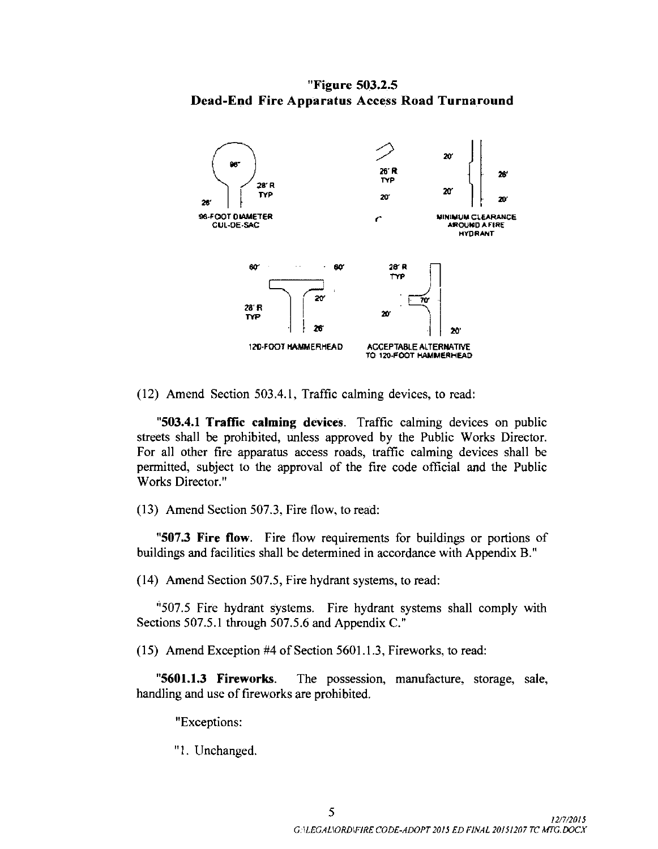Figure 503.2.5 Dead -End Fire Apparatus Access Road Turnaround



12) Amend Section 503. 4. 1, Traffic calming devices, to read:

"503.4.1 Traffic calming devices. Traffic calming devices on public streets shall be prohibited, unless approved by the Public Works Director. For all other fire apparatus access roads, traffic calming devices shall be permitted, subject to the approval of the fire code official and the Public Works Director."

13) Amend Section 507. 3, Fire flow, to read:

507.3 Fire flow. Fire flow requirements for buildings or portions of buildings and facilities shall be determined in accordance with Appendix B."

14) Amend Section 507.5, Fire hydrant systems, to read:

"507.5 Fire hydrant systems. Fire hydrant systems shall comply with Sections 507.5.1 through 507.5.6 and Appendix C."

15) Amend Exception #4 of Section 5601. 1. 3, Fireworks, to read:

"5601.1.3 Fireworks. The possession, manufacture, storage, sale, handling and use of fireworks are prohibited.

Exceptions:

1. Unchanged.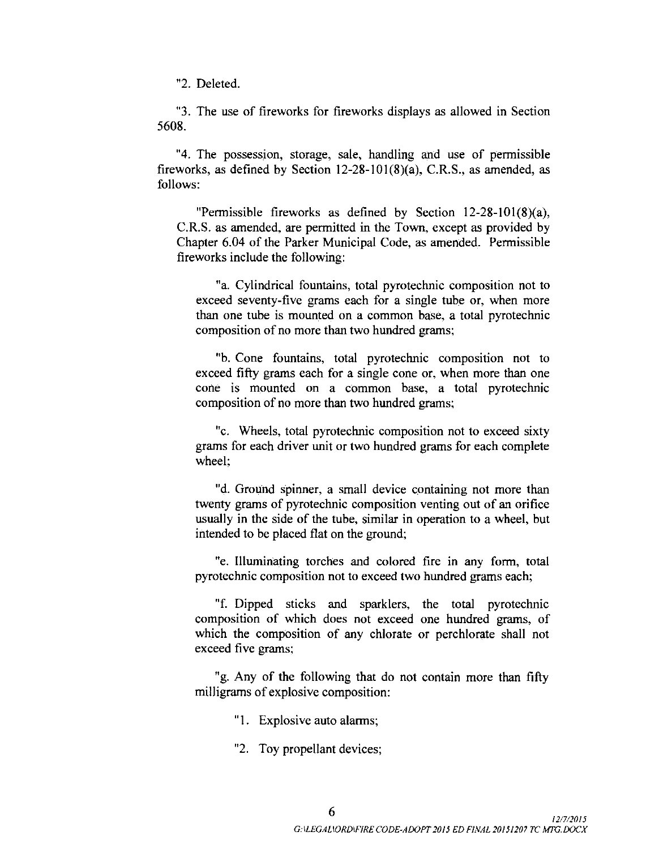2. Deleted.

3. The use of fireworks for fireworks displays as allowed in Section 5608.

4. The possession, storage, sale, handling and use of permissible fireworks, as defined by Section  $12-28-101(8)(a)$ , C.R.S., as amended, as follows:

"Permissible fireworks as defined by Section  $12-28-101(8)(a)$ , C.R.S. as amended, are permitted in the Town, except as provided by Chapter 6.04 of the Parker Municipal Code, as amended. Permissible fireworks include the following:

a. Cylindrical fountains, total pyrotechnic composition not to exceed seventy-five grams each for a single tube or, when more than one tube is mounted on a common base, a total pyrotechnic composition of no more than two hundred grams;

b. Cone fountains, total pyrotechnic composition not to exceed fifty grams each for a single cone or, when more than one cone is mounted on a common base, a total pyrotechnic composition of no more than two hundred grams;

"c. Wheels, total pyrotechnic composition not to exceed sixty grams for each driver unit or two hundred grams for each complete wheel:

"d. Ground spinner, a small device containing not more than twenty grams of pyrotechnic composition venting out of an orifice usually in the side of the tube, similar in operation to a wheel, but intended to be placed flat on the ground;

"e. Illuminating torches and colored fire in any form, total pyrotechnic composition not to exceed two hundred grams each;

f. Dipped sticks and sparklers, the total pyrotechnic composition of which does not exceed one hundred grams, of which the composition of any chlorate or perchlorate shall not exceed five grams;

g. Any of the following that do not contain more than fifty milligrams of explosive composition:

- "1. Explosive auto alarms;
- 2. Toy propellant devices;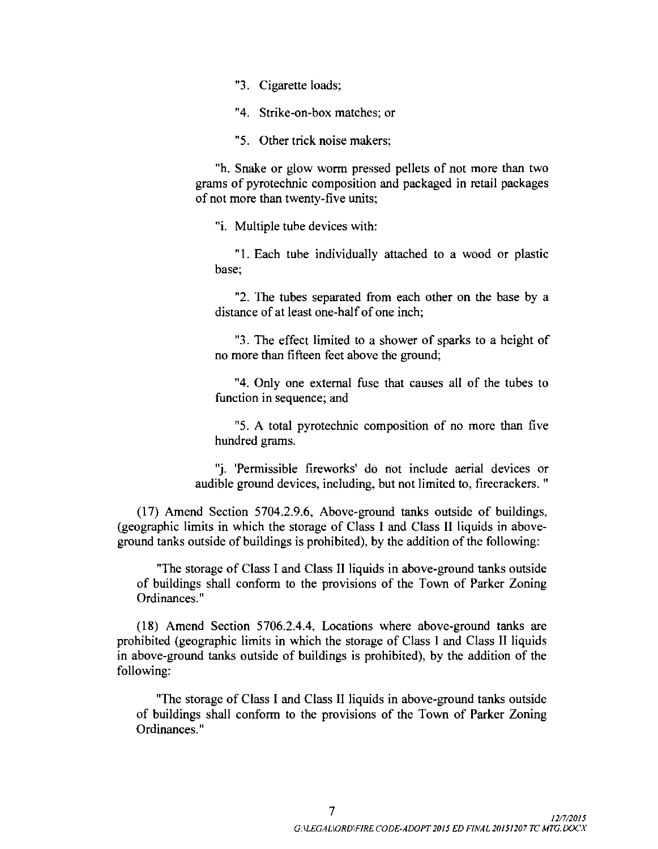3. Cigarette loads;

4. Strike -on -box matches; or

5. Other trick noise makers;

h. Snake or glow worm pressed pellets of not more than two grams of pyrotechnic composition and packaged in retail packages of not more than twenty-five units;

"i. Multiple tube devices with:

1. Each tube individually attached to a wood or plastic base;

2. The tubes separated from each other on the base by a distance of at least one-half of one inch;

3. The effect limited to a shower of sparks to <sup>a</sup> height of no more than fifteen feet above the ground;

4. Only one external fuse that causes all of the tubes to function in sequence; and

5. A total pyrotechnic composition of no more than five hundred grams.

j. 'Permissible fireworks' do not include aerial devices or audible ground devices, including, but not limited to, firecrackers. "

17) Amend Section 5704.2. 9.6, Above -ground tanks outside of buildings, geographic limits in which the storage of Class I and Class II liquids in aboveground tanks outside of buildings is prohibited), by the addition of the following:

The storage of Class I and Class II liquids in above -ground tanks outside of buildings shall conform to the provisions of the Town of Parker Zoning Ordinances."

18) Amend Section 5706.2. 4.4, Locations where above -ground tanks are prohibited ( geographic limits in which the storage of Class I and Class II liquids in above -ground tanks outside of buildings is prohibited), by the addition of the following:

The storage of Class I and Class II liquids in above -ground tanks outside of buildings shall conform to the provisions of the Town of Parker Zoning Ordinances."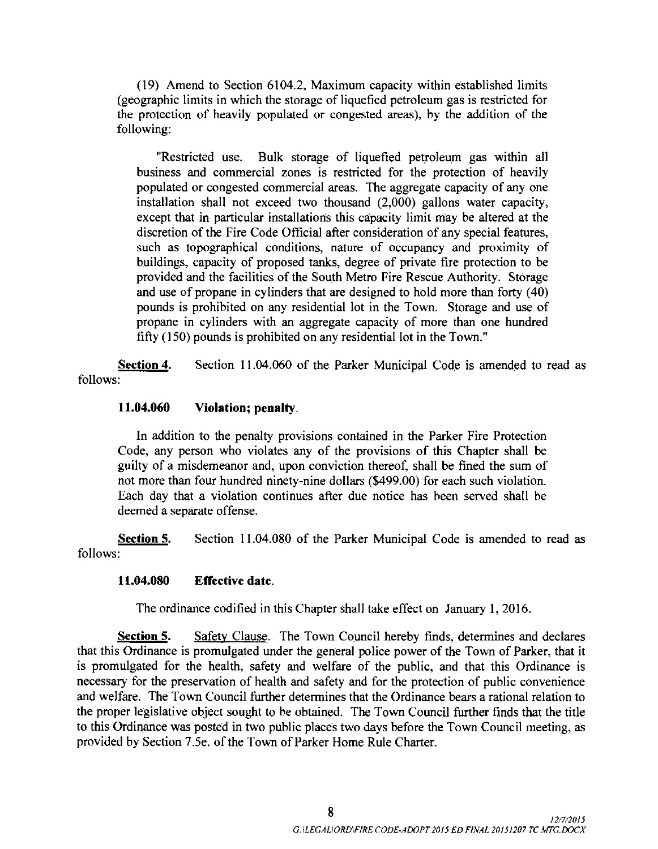19) Amend to Section 6104.2, Maximum capacity within established limits geographic limits in which the storage of liquefied petroleum gas is restricted for the protection of heavily populated or congested areas), by the addition of the following:

Restricted use. Bulk storage of liquefied petroleum gas within all business and commercial zones is restricted for the protection of heavily populated or congested commercial areas. The aggregate capacity of any one installation shall not exceed two thousand  $(2,000)$  gallons water capacity, except that in particular installations this capacity limit may be altered at the discretion of the Fire Code Official after consideration of any special features, such as topographical conditions, nature of occupancy and proximity of buildings, capacity of proposed tanks, degree of private fire protection to be provided and the facilities of the South Metro Fire Rescue Authority. Storage and use of propane in cylinders that are designed to hold more than forty (40) pounds is prohibited on any residential lot in the Town. Storage and use of propane in cylinders with an aggregate capacity of more than one hundred fifty (150) pounds is prohibited on any residential lot in the Town."

Section 4. Section 11.04.060 of the Parker Municipal Code is amended to read as follows:

### 11. 04.060 Violation; penalty.

In addition to the penalty provisions contained in the Parker Fire Protection Code, any person who violates any of the provisions of this Chapter shall be guilty of <sup>a</sup> misdemeanor and, upon conviction thereof, shall be fined the sum of not more than four hundred ninety-nine dollars (\$499.00) for each such violation. Each day that a violation continues after due notice has been served shall be deemed a separate offense.

Section 5. Section 11.04.080 of the Parker Municipal Code is amended to read as follows:

### 11. 04.080 Effective date.

The ordinance codified in this Chapter shall take effect on January 1, 2016.

Section 5. Safety Clause. The Town Council hereby finds, determines and declares that this Ordinance is promulgated under the general police power of the Town of Parker, that it is promulgated for the health, safety and welfare of the public, and that this Ordinance is necessary for the preservation of health and safety and for the protection of public convenience and welfare. The Town Council further determines that the Ordinance bears a rational relation to the proper legislative object sought to be obtained. The Town Council further finds that the title to this Ordinance was posted in two public places two days before the Town Council meeting, as provided by Section 7.5e. of the Town of Parker Home Rule Charter.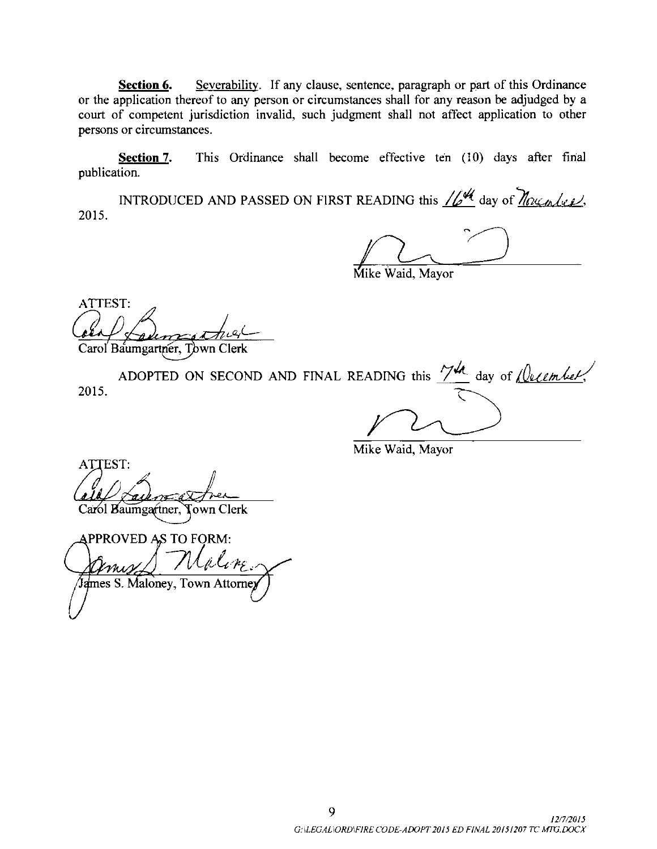Section 6. Severability. If any clause, sentence, paragraph or part of this Ordinance or the application thereof to any person or circumstances shall for any reason be adjudged by a court of competent jurisdiction invalid, such judgment shall not affect application to other persons or circumstances.

Section 7. This Ordinance shall become effective ten (10) days after final publication.

INTRODUCED AND PASSED ON FIRST READING this  $\sqrt{24}$  day of  $\gamma$   $\gamma$ 2015.

aid, Mavor

ATTEST:

Carol Baumgartner, Town Clerk

ADOPTED ON SECOND AND FINAL READING this  $\frac{7\mu}{4}$  day of *(lecember*). 2015.

Mike Waid, Mayor

ATTEST: Carol Baumgartner, Town Clerk

APPROVED AS TO FORM: Maline James S. Maloney, Town Attorney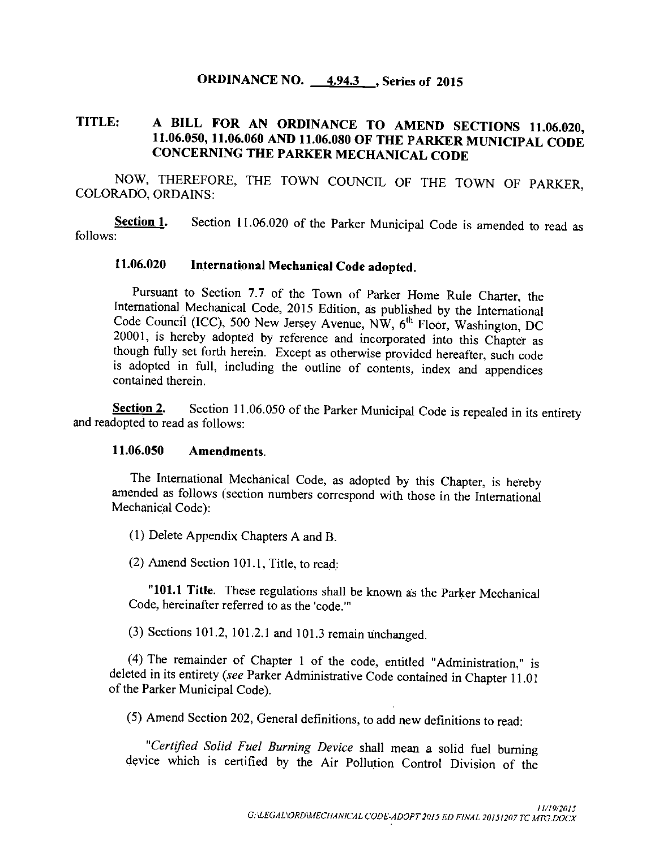# ORDINANCE NO. 4.94.3 , Series of 2015

# TITLE: <sup>A</sup> BILL FOR AN ORDINANCE TO AMEND SECTIONS 11. 06.020, 11. 06. 050, 11. 06. 060 AND 11. 06.080 OF THE PARKER MUNICIPAL CODE CONCERNING THE PARKER MECHANICAL CODE

NOW, THEREFORE, THE TOWN COUNCIL OF THE TOWN OF PARKER, COLORADO, ORDAINS:

Section 1. Section 11.06.020 of the Parker Municipal Code is amended to read as follows:

# 11. 06.020 International Mechanical Code adopted.

Pursuant to Section 7.7 of the Town of Parker Home Rule Charter, the International Mechanical Code, 2015 Edition, as published by the International Code Council (ICC), 500 New Jersey Avenue, NW, 6<sup>th</sup> Floor, Washington, DC 20001, is hereby adopted by reference and incorporated into this Chapter as though fully set forth herein. Except as otherwise provided hereafter, such code is adopted in full, including the outline of contents, index and appendices contained therein.

Section 2. Section 11.06.050 of the Parker Municipal Code is repealed in its entirety and readopted to read as follows:

### 11. 06.050 Amendments.

The International Mechanical Code, as adopted by this Chapter, is hereby amended as follows ( section numbers correspond with those in the International Mechanical Code):

1) Delete Appendix Chapters A and B.

 $(2)$  Amend Section 101.1, Title, to read:

"101.1 Title. These regulations shall be known as the Parker Mechanical Code, hereinafter referred to as the 'code.""

(3) Sections 101.2, 101.2.1 and 101.3 remain unchanged.

4) The remainder of Chapter <sup>1</sup> of the code, entitled " Administration," is deleted in its entirety (see Parker Administrative Code contained in Chapter 11. 01 of the Parker Municipal Code).

5) Amend Section 202, General definitions, to add new definitions to read:

"Certified Solid Fuel Burning Device shall mean a solid fuel burning device which is certified by the Air Pollution Control Division of the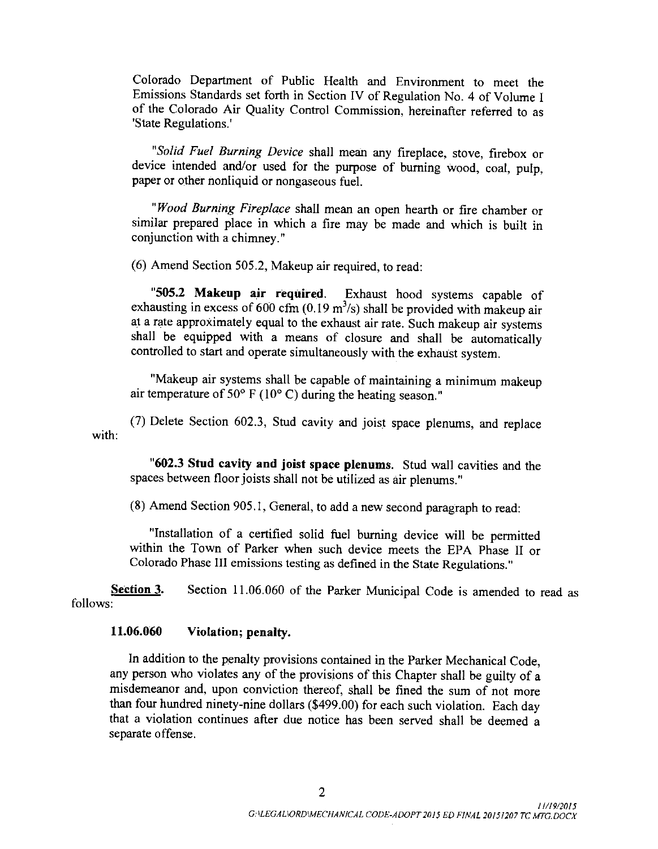Colorado Department of Public Health and Environment to meet the Emissions Standards set forth in Section IV of Regulation No. 4 of Volume I of the Colorado Air Quality Control Commission, hereinafter referred to as State Regulations.'

"Solid Fuel Burning Device shall mean any fireplace, stove, firebox or device intended and/or used for the purpose of burning wood, coal, pulp, paper or other nonliquid or nongaseous fuel.

"Wood Burning Fireplace shall mean an open hearth or fire chamber or similar prepared place in which a fire may be made and which is built in conjunction with a chimney."

(6) Amend Section 505.2, Makeup air required, to read:

505.<sup>2</sup> Makeup air required. Exhaust hood systems capable of exhausting in excess of 600 cfm (0.19 m<sup>3</sup>/s) shall be provided with makeup air at a rate approximately equal to the exhaust air rate. Such makeup air systems shall be equipped with a means of closure and shall be automatically controlled to start and operate simultaneously with the exhaust system.

Makeup air systems shall be capable of maintaining <sup>a</sup> minimum makeup air temperature of 50 $\degree$  F (10 $\degree$  C) during the heating season."

with: 7) Delete Section 602. 3, Stud cavity and joist space plenums, and replace

602.3 Stud cavity and joist space plenums. Stud wall cavities and the spaces between floor joists shall not be utilized as air plenums."

8) Amend Section 905. 1, General, to add a new second paragraph to read:

Installation of a certified solid fuel burning device will be permitted within the Town of Parker when such device meets the EPA Phase II or Colorado Phase III emissions testing as defined in the State Regulations."

Section 3. Section 11.06.060 of the Parker Municipal Code is amended to read as follows:

## 11. 06.060 Violation; penalty.

In addition to the penalty provisions contained in the Parker Mechanical Code, any person who violates any of the provisions of this Chapter shall be guilty of <sup>a</sup> misdemeanor and, upon conviction thereof, shall be fined the sum of not more than four hundred ninety-nine dollars (\$499.00) for each such violation. Each day that a violation continues after due notice has been served shall be deemed a separate offense.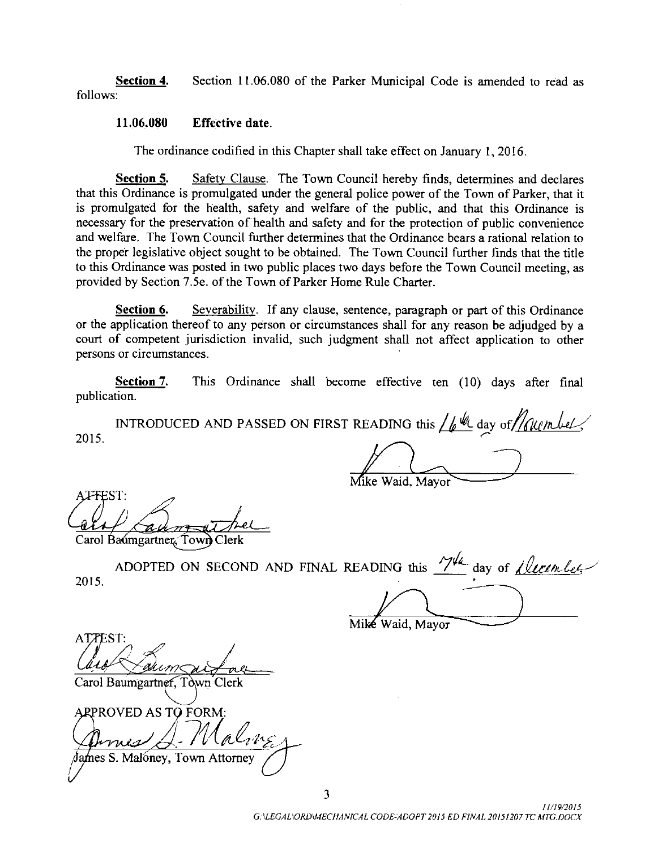Section 4. Section 11.06.080 of the Parker Municipal Code is amended to read as follows:

### 11. 06.080 Effective date.

The ordinance codified in this Chapter shall take effect on January 1, 2016.

Section 5. Safety Clause. The Town Council hereby finds, determines and declares that this Ordinance is promulgated under the general police power of the Town of Parker, that it is promulgated for the health, safety and welfare of the public, and that this Ordinance is necessary for the preservation of health and safety and for the protection of public convenience and welfare. The Town Council further determines that the Ordinance bears a rational relation to the proper legislative object sought to be obtained. The Town Council further finds that the title to this Ordinance was posted in two public places two days before the Town Council meeting, as provided by Section 7.5e. of the Town of Parker Home Rule Charter.

Section 6. Severability. If any clause, sentence, paragraph or part of this Ordinance or the application thereof to any person or circumstances shall for any reason be adjudged by a court of competent jurisdiction invalid, such judgment shall not affect application to other persons or circumstances.

Section 7. This Ordinance shall become effective ten (10) days after final publication.

INTRODUCED AND PASSED ON FIRST READING this  $\frac{1}{k}$  day of *following*. 2015.

Mike Waid, Mayor

**JEFEST:** 

Carol Baumgartner, Town Clerk

admgartner Town Clerk<br>ADOPTED ON SECOND AND FINAL READING this <u>17th</u> day of <u>Lleeemlee</u> 2015.

Mike Waid, Mayor

ATTEST: <u>(† 17</u> ATPEST:<br>Carol Baumgartner, Town Clerk

ARPROVED AS TO FORM:  $-\mu$ lames S. Maloney, Town Attorney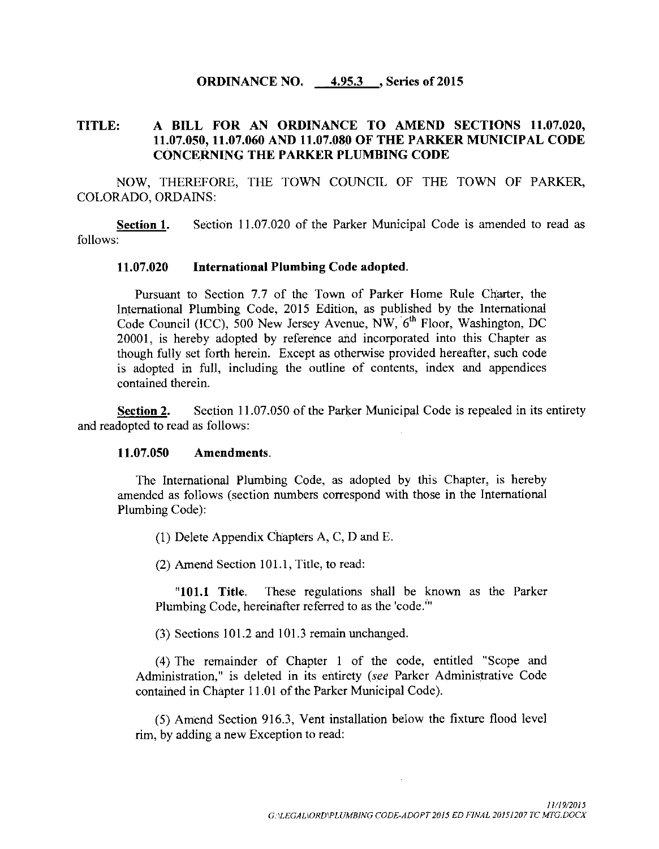### ORDINANCE NO. 4.95.3 , Series of 2015

## TITLE: A BILL FOR AN ORDINANCE TO AMEND SECTIONS 11.07.020, 11. 07.050, 11. 07.060 AND 11. 07.080 OF THE PARKER MUNICIPAL CODE CONCERNING THE PARKER PLUMBING CODE

NOW, THEREFORE, THE TOWN COUNCIL OF THE TOWN OF PARKER, COLORADO, ORDAINS:

Section 1. Section 11.07.020 of the Parker Municipal Code is amended to read as follows:

#### 11. 07.020 International Plumbing Code adopted.

Pursuant to Section 7.7 of the Town of Parker Home Rule Charter, the International Plumbing Code, 2015 Edition, as published by the International Code Council (ICC), 500 New Jersey Avenue, NW, 6<sup>th</sup> Floor, Washington, DC 20001, is hereby adopted by reference and incorporated into this Chapter as though fully set forth herein. Except as otherwise provided hereafter, such code is adopted in full, including the outline of contents, index and appendices contained therein.

Section 2. Section 11.07.050 of the Parker Municipal Code is repealed in its entirety and readopted to read as follows:

#### 11. 07.050 Amendments.

The International Plumbing Code, as adopted by this Chapter, is hereby amended as follows ( section numbers correspond with those in the International Plumbing Code):

1) Delete Appendix Chapters A, C, D and E.

 $(2)$  Amend Section 101.1, Title, to read:

"101.1 Title. These regulations shall be known as the Parker Plumbing Code, hereinafter referred to as the 'code.'"

 $(3)$  Sections 101.2 and 101.3 remain unchanged.

4) The remainder of Chapter <sup>1</sup> of the code, entitled " Scope and Administration," is deleted in its entirety (see Parker Administrative Code contained in Chapter 11. <sup>01</sup> of the Parker Municipal Code).

5) Amend Section 916. 3, Vent installation below the fixture flood level rim, by adding a new Exception to read: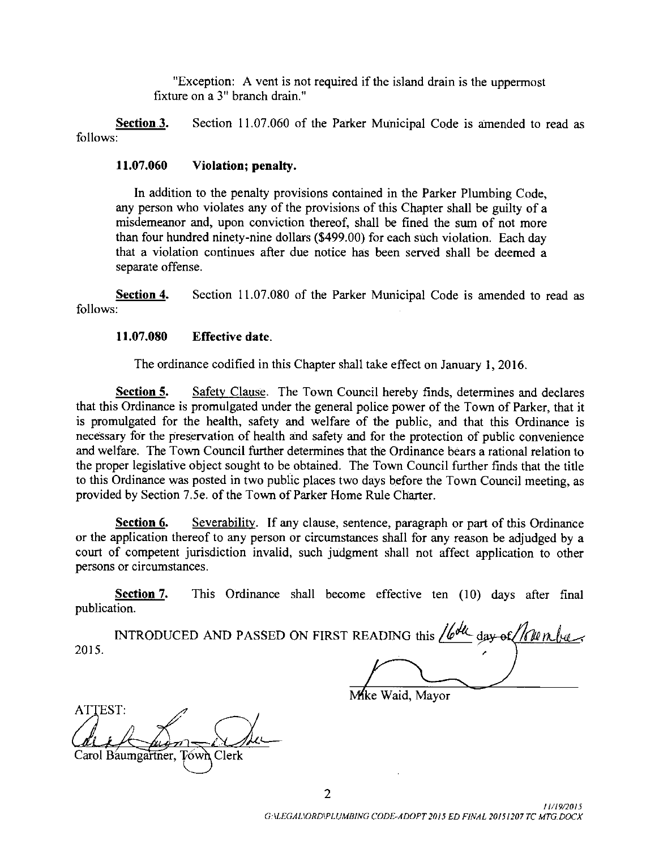Exception: A vent is not required if the island drain is the uppermost fixture on a 3" branch drain."

**Section 3.** Section 11.07.060 of the Parker Municipal Code is amended to read as follows:

### 11.07.060 Violation; penalty.

In addition to the penalty provisions contained in the Parker Plumbing Code, any person who violates any of the provisions of this Chapter shall be guilty of <sup>a</sup> misdemeanor and, upon conviction thereof, shall be fined the sum of not more than four hundred ninety-nine dollars (\$499.00) for each such violation. Each day that a violation continues after due notice has been served shall be deemed a separate offense.

Section 4. Section 11.07.080 of the Parker Municipal Code is amended to read as follows:

### 11. 07.080 Effective date.

The ordinance codified in this Chapter shall take effect on January 1, 2016.

Section 5. Safety Clause. The Town Council hereby finds, determines and declares that this Ordinance is promulgated under the general police power of the Town of Parker, that it is promulgated for the health, safety and welfare of the public, and that this Ordinance is necessary for the preservation of health and safety and for the protection of public convenience and welfare. The Town Council further determines that the Ordinance bears a rational relation to the proper legislative object sought to be obtained. The Town Council further finds that the title to this Ordinance was posted in two public places two days before the Town Council meeting, as provided by Section 7. 5e. of the Town of Parker Home Rule Charter.

Section 6. Severability. If any clause, sentence, paragraph or part of this Ordinance or the application thereof to any person or circumstances shall for any reason be adjudged by a court of competent jurisdiction invalid, such judgment shall not affect application to other persons or circumstances.

Section 7. This Ordinance shall become effective ten (10) days after final publication.

INTRODUCED AND PASSED ON FIRST READING this  $\sqrt{b^{d\ell}}$  day of  $\sqrt{h\nu}$  mbers 2015.

Mke Waid, Mayor

ATTEST: Carol Baumgartner, Town Clerk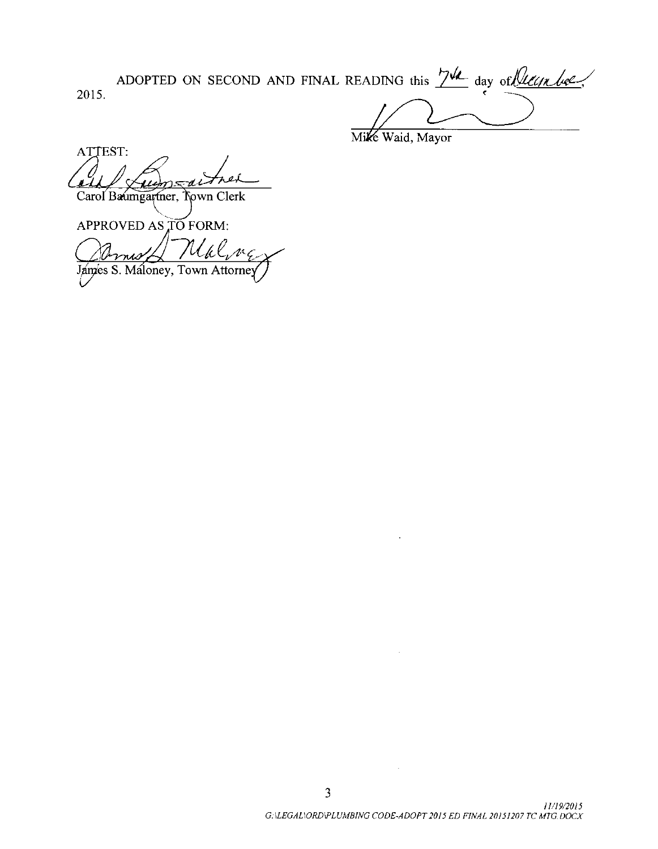ADOPTED ON SECOND AND FINAL READING this  $\frac{74}{4}$  day of least he 2015.

Mike Waid, Mayor

ATTEST: U Carol Baumgartner, Town Clerk

APPROVED AS TO FORM:

Uklenc James S. Maloney, Town Attorney

 $\sim$   $\omega$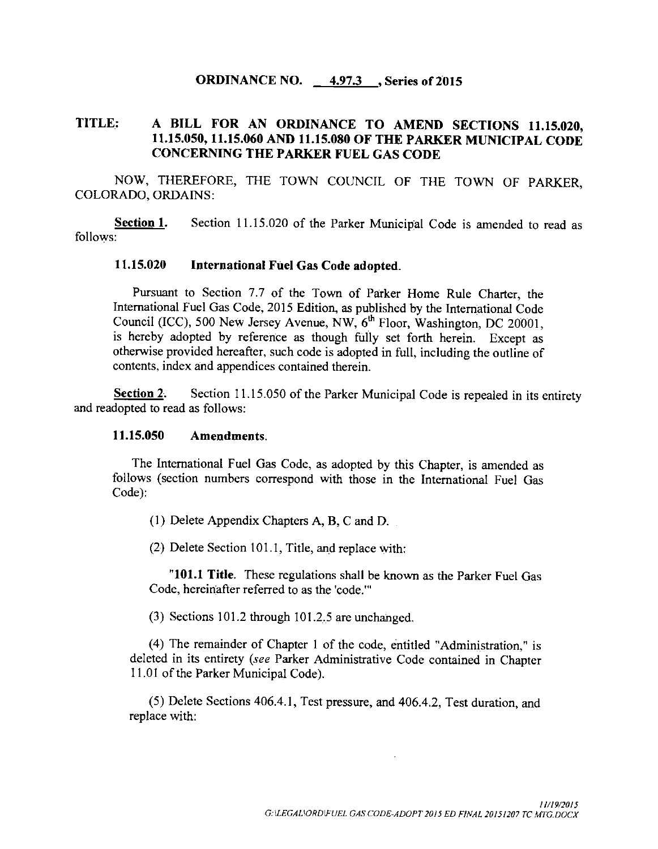## ORDINANCE NO. 4.97.3 , Series of 2015

# TITLE: A BILL FOR AN ORDINANCE TO AMEND SECTIONS 11. 15.020, 11. 15.050, 11. 15.060 AND 11. 15.080 OF THE PARKER MUNICIPAL CODE CONCERNING THE PARKER FUEL GAS CODE

NOW, THEREFORE, THE TOWN COUNCIL OF THE TOWN OF PARKER, COLORADO, ORDAINS:

Section 1. Section 11.15.020 of the Parker Municipal Code is amended to read as follows:

## 11. 15.020 International Fuel Gas Code adopted.

Pursuant to Section 7.7 of the Town of Parker Home Rule Charter, the International Fuel Gas Code, 2015 Edition, as published by the International Code International Fuel Gas Code, 2015 Edition, as published by the International Code Council (ICC), 500 New Jersey Avenue, NW,  $6<sup>th</sup>$  Floor, Washington, DC 20001, is hereby adopted by reference as though fully set forth herein. Except as otherwise provided hereafter, such code is adopted in full, including the outline of contents, index and appendices contained therein.

Section 2. Section 11.15.050 of the Parker Municipal Code is repealed in its entirety and readopted to read as follows:

### 11. 15.050 Amendments.

The International Fuel Gas Code, as adopted by this Chapter, is amended as follows ( section numbers correspond with those in the International Fuel Gas Code):

1) Delete Appendix Chapters A, B, C and D.

(2) Delete Section 101.1, Title, and replace with:

"101.1 Title. These regulations shall be known as the Parker Fuel Gas Code, hereinafter referred to as the 'code."'

 $(3)$  Sections 101.2 through 101.2.5 are unchanged.

4) The remainder of Chapter <sup>1</sup> of the code, entitled " Administration," is deleted in its entirety (see Parker Administrative Code contained in Chapter 11. <sup>01</sup> of the Parker Municipal Code).

5) Delete Sections 406.4. 1, Test pressure, and 406.4.2, Test duration, and replace with: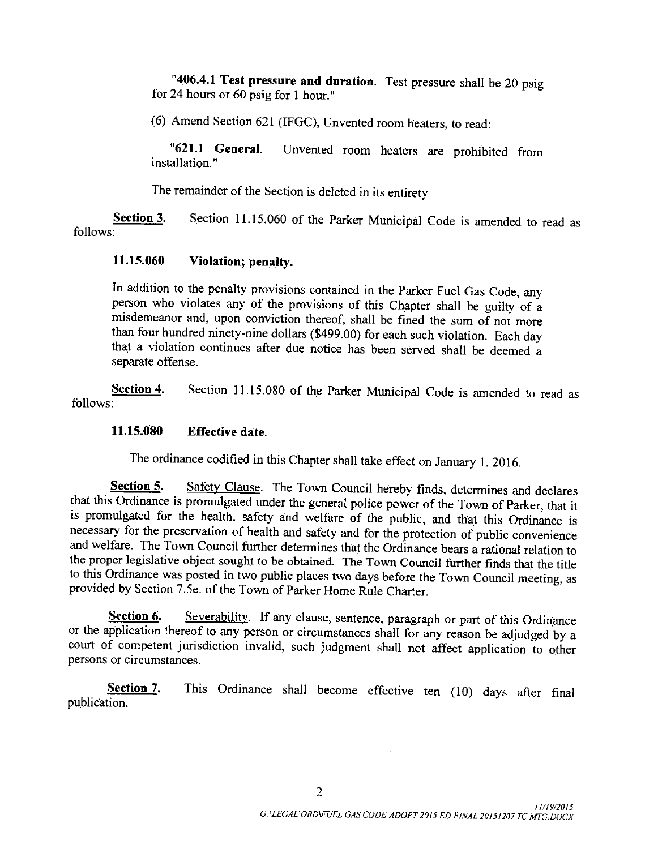"406.4.1 Test pressure and duration. Test pressure shall be 20 psig for 24 hours or 60 psig for <sup>1</sup> hour."

6) Amend Section 621 ( IFGC), Unvented room heaters, to read:

"621.1 General. Unvented room heaters are prohibited from installation."

The remainder of the Section is deleted in its entirety

Section 3. Section 11.15.060 of the Parker Municipal Code is amended to read as follows:

## 11. 15.<sup>060</sup> Violation; penalty.

In addition to the penalty provisions contained in the Parker Fuel Gas Code, any person who violates any of the provisions of this Chapter shall be guilty of <sup>a</sup> misdemeanor and, upon conviction thereof, shall be fined the sum of not more than four hundred ninety-nine dollars (\$499.00) for each such violation. Each day that a violation continues after due notice has been served shall be deemed a separate offense.

Section 4. Section 11.15.080 of the Parker Municipal Code is amended to read as follows:

### 11. 15.080 Effective date.

The ordinance codified in this Chapter shall take effect on January 1, 2016.

Section 5. Safety Clause. The Town Council hereby finds, determines and declares that this Ordinance is promulgated under the general police power of the Town of Parker, that it is promulgated for the health, safety and welfare of the public, and that this Ordinance is necessary for the preservation of health and safety and for the protection of public convenience and welfare. The Town Council further determines that the Ordinance bears a rational relation to the proper legislative object sought to be obtained. The Town Council further finds that the title to this Ordinance was posted in two public places two days before the Town Council meeting, as provided by Section 7.5e. of the Town of Parker Home Rule Charter.

Section 6. Severability. If any clause, sentence, paragraph or part of this Ordinance or the application thereof to any person or circumstances shall for any reason be adjudged by <sup>a</sup> court of competent jurisdiction invalid, such judgment shall not affect application to other persons or circumstances.

Section 7. This Ordinance shall become effective ten (10) days after final publication.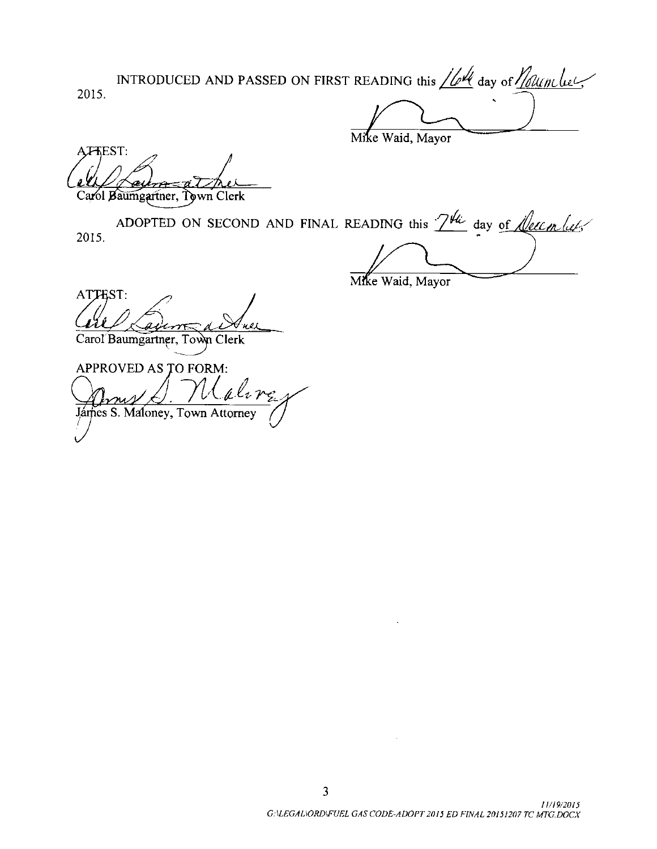2015. INTRODUCED AND PASSED ON FIRST READING this  $//$  day of  $//$   $\&$ 

Mike Waid, Mayor

AFFEST: i<br>Z

aumgartner, Town Clerk

2015. ADOPTED ON SECOND AND FINAL READING this  $2^{H\!\omega}$  day of *Leecin luts* 

Mike Waid, Mayor

ATTEST: Carol Baumgartner, Town Clerk

APPROVED AS TO FORM: aline Jarfies S. Maloney, Town Attorney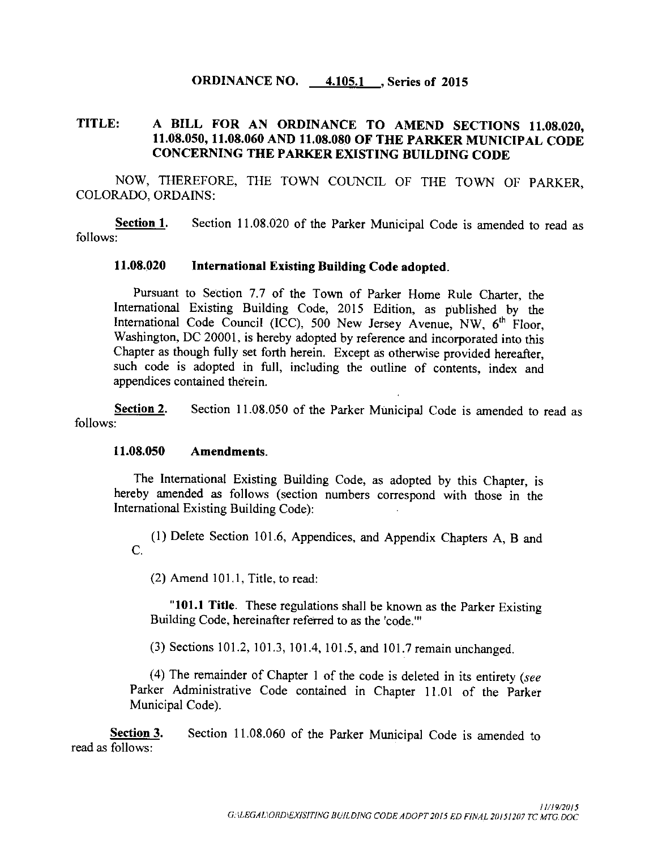## ORDINANCE NO. 4.105.1 , Series of 2015

## TITLE: A BILL FOR AN ORDINANCE TO AMEND SECTIONS 11.08.020, 11. 08.050, 11. 08.060 AND 11. 08.080 OF THE PARKER MUNICIPAL CODE CONCERNING THE PARKER EXISTING BUILDING CODE

NOW, THEREFORE, THE TOWN COUNCIL OF THE TOWN OF PARKER, COLORADO, ORDAINS:

Section 1. Section 11.08.020 of the Parker Municipal Code is amended to read as follows:

## 11. 08.020 International Existing Building Code adopted.

Pursuant to Section 7.7 of the Town of Parker Home Rule Charter, the International Existing Building Code, 2015 Edition, as published by the International Code Council (ICC), 500 New Jersey Avenue, NW, 6<sup>th</sup> Floor, Washington, DC 20001, is hereby adopted by reference and incorporated into this Chapter as though fully set forth herein. Except as otherwise provided hereafter, such code is adopted in full, including the outline of contents, index and appendices contained therein.

Section 2. Section 11.08.050 of the Parker Municipal Code is amended to read as follows:

#### 11. 08.050 Amendments.

The International Existing Building Code, as adopted by this Chapter, is hereby amended as follows ( section numbers correspond with those in the International Existing Building Code):

1) Delete Section 101. 6, Appendices, and Appendix Chapters A, B and C.

 $(2)$  Amend 101.1, Title, to read:

"101.1 Title. These regulations shall be known as the Parker Existing Building Code, hereinafter referred to as the 'code."'

(3) Sections 101.2, 101.3, 101.4, 101.5, and 101.7 remain unchanged.

(4) The remainder of Chapter 1 of the code is deleted in its entirety ( $see$ Parker Administrative Code contained in Chapter 11.01 of the Parker Municipal Code).

Section 3. Section 11.08.060 of the Parker Municipal Code is amended to read as follows: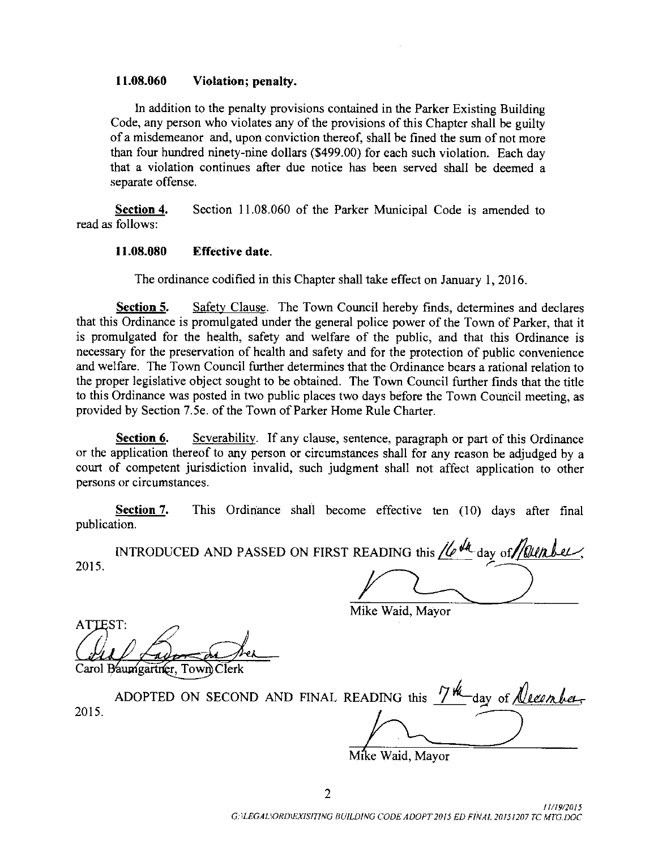### 11. 08.060 Violation; penalty.

In addition to the penalty provisions contained in the Parker Existing Building Code, any person who violates any of the provisions of this Chapter shall be guilty of <sup>a</sup> misdemeanor and, upon conviction thereof, shall be fined the sum of not more than four hundred ninety- nine dollars (\$499.00) for each such violation. Each day that a violation continues after due notice has been served shall be deemed <sup>a</sup> separate offense.

Section 4. Section 11.08.060 of the Parker Municipal Code is amended to read as follows:

#### 11. 08.080 Effective date.

The ordinance codified in this Chapter shall take effect on January 1, 2016.

Section 5. Safety Clause. The Town Council hereby finds, determines and declares that this Ordinance is promulgated under the general police power of the Town of Parker, that it is promulgated for the health, safety and welfare of the public, and that this Ordinance is necessary for the preservation of health and safety and for the protection of public convenience and welfare. The Town Council further determines that the Ordinance bears a rational relation to the proper legislative object sought to be obtained. The Town Council further finds that the title to this Ordinance was posted in two public places two days before the Town Council meeting, as provided by Section 7. 5e. of the Town of Parker Home Rule Charter.

Section 6. Severability. If any clause, sentence, paragraph or part of this Ordinance or the application thereof to any person or circumstances shall for any reason be adjudged by a court of competent jurisdiction invalid, such judgment shall not affect application to other persons or circumstances.

Section 7. This Ordinance shall become effective ten (10) days after final publication.

p INTRODUCED AND PASSED ON FIRST READING this  $\mu$   $\mu$  day of *founti* 2015.

Mike Waid, Mayor

ATTEST:

Carol Baumgartner, Town Clerk

2015. ADOPTED ON SECOND AND FINAL READING this  $74$  day of <u>Neenber</u>

Mike Waid, Mayor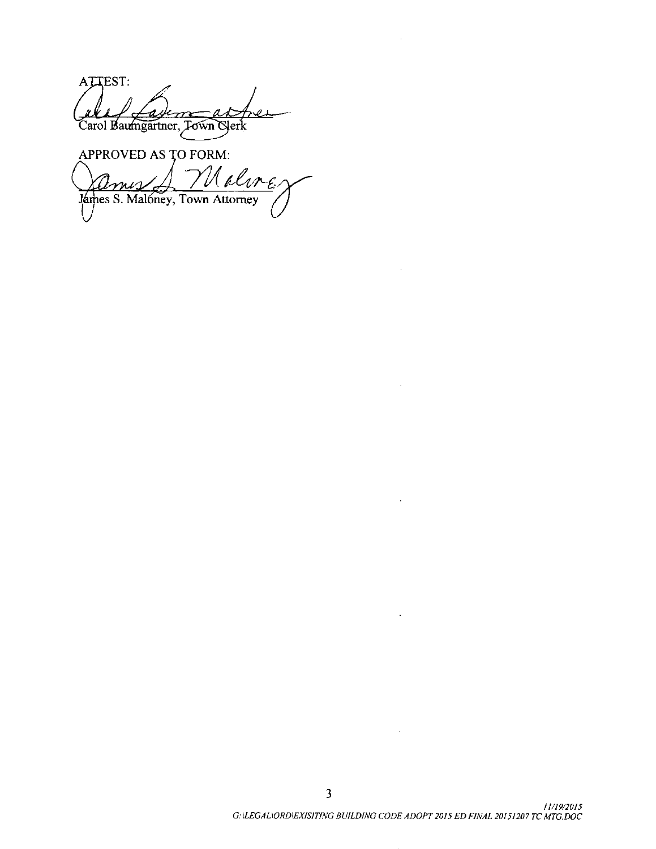ATTEST: al 1 La*de m - ad*<br>Carol Baumgartner, Jown Gler

APPROVED AS TO FORM: Nalire <u>Imis</u> James S. Malóney, Town Attorney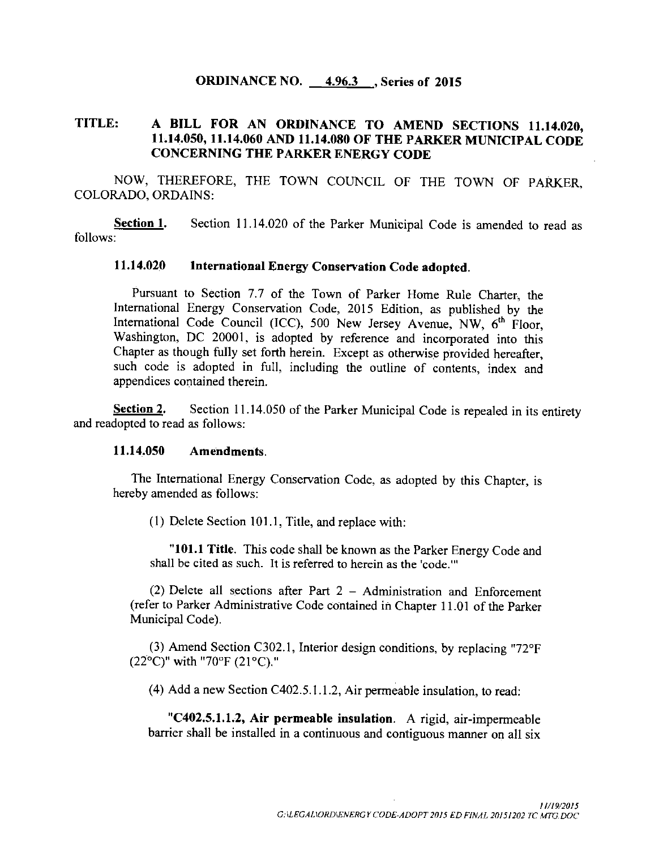### ORDINANCE NO.  $=$  4.96.3  $\overline{\phantom{0}}$ , Series of 2015

## TITLE: <sup>A</sup> BILL FOR AN ORDINANCE TO AMEND SECTIONS 11. 14.020, 11. 14.050, 11. 14.060 AND 11. 14.080 OF THE PARKER MUNICIPAL CODE CONCERNING THE PARKER ENERGY CODE

NOW, THEREFORE, THE TOWN COUNCIL OF THE TOWN OF PARKER, COLORADO, ORDAINS:

Section 1. Section 11.14.020 of the Parker Municipal Code is amended to read as follows:

## 11. 14.020 International Energy Conservation Code adopted.

Pursuant to Section 7.7 of the Town of Parker Home Rule Charter, the International Energy Conservation Code, 2015 Edition, as published by the International Code Council (ICC), 500 New Jersey Avenue, NW, 6<sup>th</sup> Floor, Washington, DC 20001, is adopted by reference and incorporated into this Chapter as though fully set forth herein. Except as otherwise provided hereafter, such code is adopted in full, including the outline of contents, index and appendices contained therein.

Section 2. Section 11.14.050 of the Parker Municipal Code is repealed in its entirety and readopted to read as follows:

### 11. 14.050 Amendments.

The International Energy Conservation Code, as adopted by this Chapter, is hereby amended as follows:

 $(1)$  Delete Section 101.1, Title, and replace with:

"101.1 Title. This code shall be known as the Parker Energy Code and shall be cited as such. It is referred to herein as the 'code."

2) Delete all sections after Part 2 — Administration and Enforcement refer to Parker Administrative Code contained in Chapter 11. <sup>01</sup> of the Parker Municipal Code).

(3) Amend Section C302.1, Interior design conditions, by replacing " $72^{\circ}F$  $(22^{\circ}C)^{n}$  with "70°F (21°C)."

4) Add a new Section C402. 5. 1. 1. 2, Air permeable insulation, to read:

"C402.5.1.1.2, Air permeable insulation. A rigid, air-impermeable barrier shall be installed in a continuous and contiguous manner on all six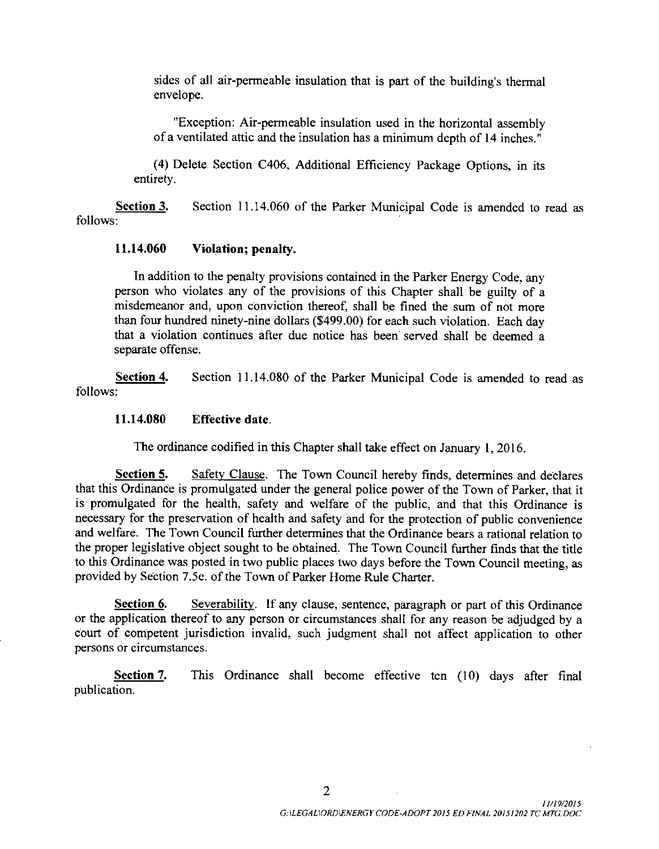sides of all air -permeable insulation that is part of the building's thermal envelope.

Exception: Air -permeable insulation used in the horizontal assembly of <sup>a</sup> ventilated attic and the insulation has <sup>a</sup> minimum depth of <sup>14</sup> inches."

4) Delete Section C406, Additional Efficiency Package Options, in its entirety.

Section 3. Section 11.14.060 of the Parker Municipal Code is amended to read as follows:

## 11. 14.060 Violation; penalty.

In addition to the penalty provisions contained in the Parker Energy Code, any person who violates any of the provisions of this Chapter shall be guilty of <sup>a</sup> misdemeanor and, upon conviction thereof, shall be fined the sum of not more than four hundred ninety-nine dollars (\$499.00) for each such violation. Each day that a violation continues after due notice has been served shall be deemed a separate offense.

Section 4. Section 11.14.080 of the Parker Municipal Code is amended to read as follows:

## 11. 14.080 Effective date.

The ordinance codified in this Chapter shall take effect on January 1, 2016.

Section 5. Safety Clause. The Town Council hereby finds, determines and declares that this Ordinance is promulgated under the general police power of the Town of Parker, that it is promulgated for the health, safety and welfare of the public, and that this Ordinance is necessary for the preservation of health and safety and for the protection of public convenience and welfare. The Town Council further determines that the Ordinance bears a rational relation to the proper legislative object sought to be obtained. The Town Council further finds that the title to this Ordinance was posted in two public places two days before the Town Council meeting, as provided by Section 7. 5e. of the Town of Parker Home Rule Charter.

Section 6. Severability. If any clause, sentence, paragraph or part of this Ordinance or the application thereof to any person or circumstances shall for any reason be adjudged by a court of competent jurisdiction invalid, such judgment shall not affect application to other persons or circumstances.

Section 7. This Ordinance shall become effective ten (10) days after final publication.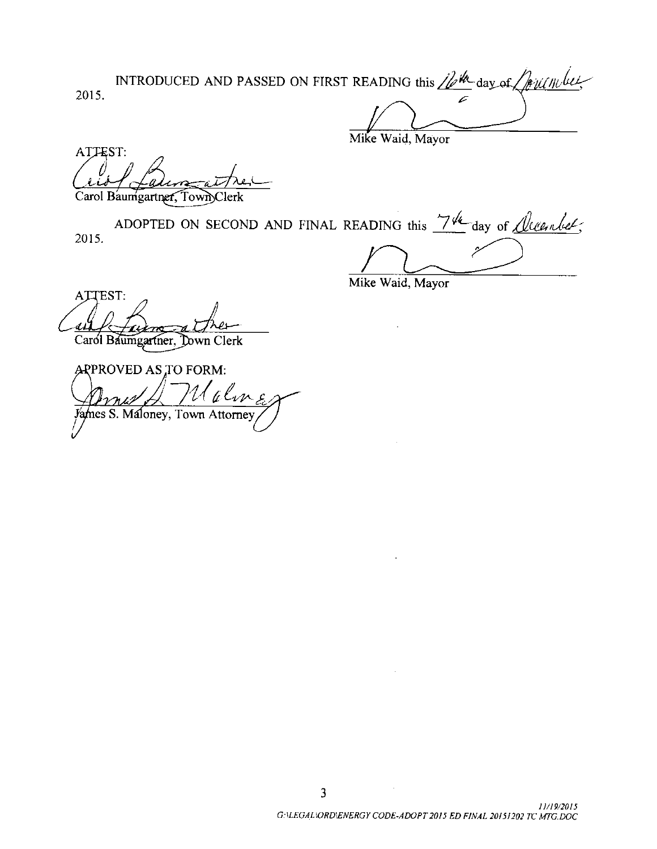2015. INTRODUCED AND PASSED ON FIRST READING this  $\mathbb{Z}^m$  day of  $\mathbb{Z}$  is under

Mike Waid, Mayor

ATTEST:

Carol Baumgartner, Town Clerk

2015. ADOPTED ON SECOND AND FINAL READING this  $\frac{7}{4}$  day of *<u>Oleenber</u>*;

Mike Waid, Mayor

ATTEST: <sup>e</sup> ae <sup>i</sup> w Carol Baumgartner, Down Clerk

APPROVED AS TO FORM:  $\mathcal{U}$ alm James S. Maloney, Town Attorney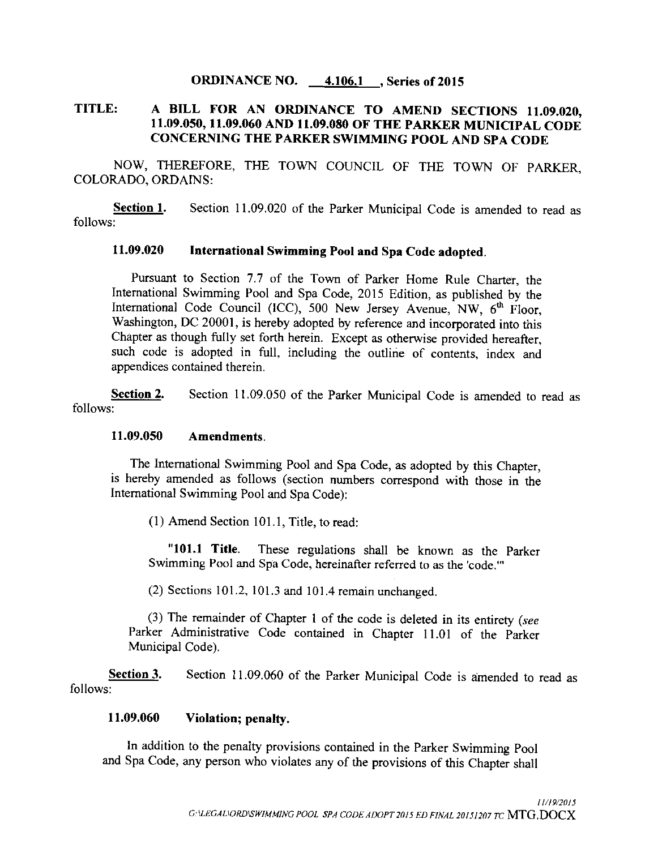## ORDINANCE NO. 4.106.1, Series of 2015

# TITLE: A BILL FOR AN ORDINANCE TO AMEND SECTIONS 11. 09.020, 11. 09.050, 11. 09.060 AND 11. 09. 080 OF THE PARKER MUNICIPAL CODE CONCERNING THE PARKER SWIMMING POOL AND SPA CODE

NOW, THEREFORE, THE TOWN COUNCIL OF THE TOWN OF PARKER, COLORADO, ORDAINS:

Section 1. Section 11.09.020 of the Parker Municipal Code is amended to read as follows:

## 11. 09.020 International Swimming Pool and Spa Code adopted.

Pursuant to Section 7.7 of the Town of Parker Home Rule Charter, the International Swimming Pool and Spa Code, 2015 Edition, as published by the International Code Council (ICC), 500 New Jersey Avenue, NW, 6<sup>th</sup> Floor, Washington, DC 20001, is hereby adopted by reference and incorporated into this Chapter as though fully set forth herein. Except as otherwise provided hereafter, such code is adopted in full, including the outline of contents, index and appendices contained therein.

Section 2. Section 11.09.050 of the Parker Municipal Code is amended to read as follows:

## 11. 09.050 Amendments.

The International Swimming Pool and Spa Code, as adopted by this Chapter, is hereby amended as follows ( section numbers correspond with those in the International Swimming Pool and Spa Code):

 $(1)$  Amend Section 101.1, Title, to read:

"101.1 Title. These regulations shall be known as the Parker Swimming Pool and Spa Code, hereinafter referred to as the 'code."'

 $(2)$  Sections 101.2, 101.3 and 101.4 remain unchanged.

 $(3)$  The remainder of Chapter 1 of the code is deleted in its entirety (see Parker Administrative Code contained in Chapter 11.01 of the Parker Municipal Code).

Section 3. Section 11.09.060 of the Parker Municipal Code is amended to read as follows:

### 11. 09.060 Violation; penalty.

In addition to the penalty provisions contained in the Parker Swimming Pool and Spa Code, any person who violates any of the provisions of this Chapter shall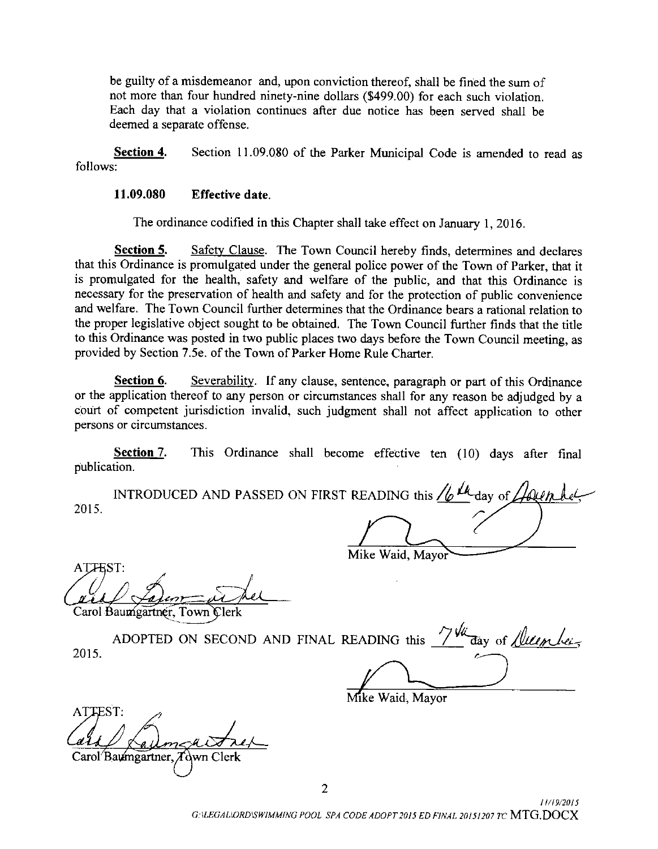be guilty of <sup>a</sup> misdemeanor and, upon conviction thereof, shall be fined the sum of not more than four hundred ninety-nine dollars (\$ 499. 00) for each such violation. Each day that a violation continues after due notice has been served shall be deemed a separate offense.

Section 4. Section 11.09.080 of the Parker Municipal Code is amended to read as follows:

### 11. 09.080 Effective date.

The ordinance codified in this Chapter shall take effect on January 1, 2016.

**Section 5.** Safety Clause. The Town Council hereby finds, determines and declares that this Ordinance is promulgated under the general police power of the Town of Parker, that it is promulgated for the health, safety and welfare of the public, and that this Ordinance is necessary for the preservation of health and safety and for the protection of public convenience and welfare. The Town Council further determines that the Ordinance bears a rational relation to the proper legislative object sought to be obtained. The Town Council further finds that the title to this Ordinance was posted in two public places two days before the Town Council meeting, as provided by Section 7.5e. of the Town of Parker Home Rule Charter.

Section 6. Severability. If any clause, sentence, paragraph or part of this Ordinance or the application thereof to any person or circumstances shall for any reason be adjudged by a court of competent jurisdiction invalid, such judgment shall not affect application to other persons or circumstances.

**Section 7.** This Ordinance shall become effective ten  $(10)$  days after final publication.

|      | INTRODUCED AND PASSED ON FIRST READING this $\frac{1}{6}$ $\mu_{\text{day of}}$<br>Lounhel |
|------|--------------------------------------------------------------------------------------------|
| 2015 |                                                                                            |
|      |                                                                                            |
| .    | Mike Waid, Mayor                                                                           |

Carol Baumgartner, Town Clerk

| 2015. | ADOPTED ON SECOND AND FINAL READING this $\frac{7}{4}$ day of <i>fluenting</i> |  |  |
|-------|--------------------------------------------------------------------------------|--|--|
|       |                                                                                |  |  |
|       |                                                                                |  |  |
|       |                                                                                |  |  |

Mike Waid, Mayor

 $\mathsf{ATTEST}\colon$ Carol Baumgartner, Town Cler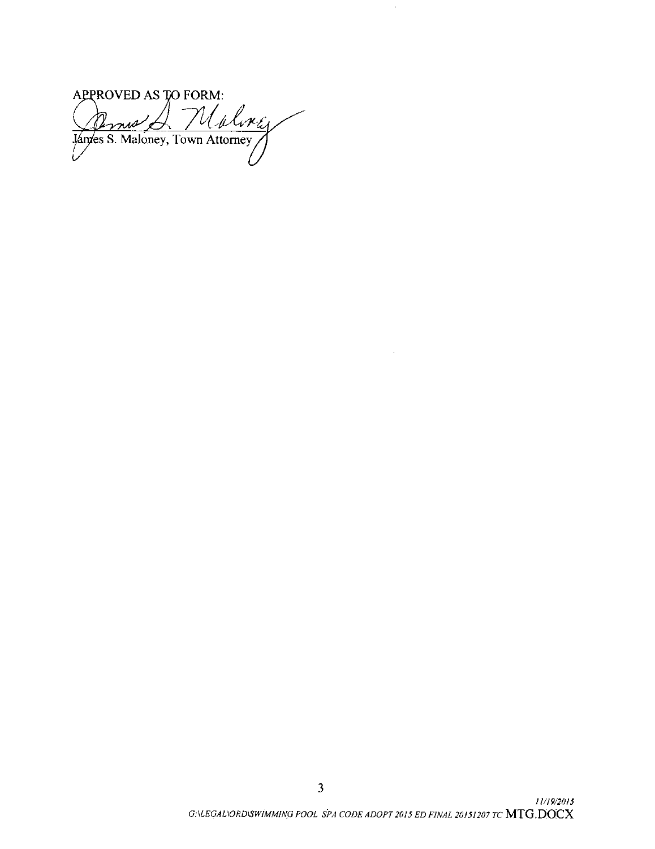APPROVED AS TO FORM: Pernie A Malorey

 $\hat{\boldsymbol{\beta}}$ 

 $\mathcal{A}^{\mathcal{A}}$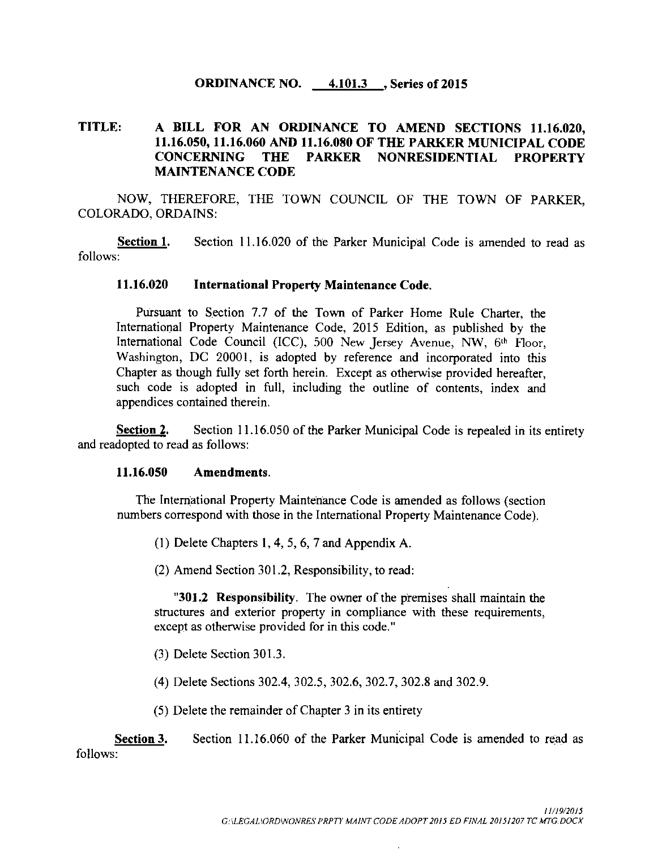## **ORDINANCE NO.** 4.101.3 , Series of 2015

## TITLE: A BILL FOR AN ORDINANCE TO AMEND SECTIONS 11. 16.020, 11.16.050, 11.16.060 AND 11.16.080 OF THE PARKER MUNICIPAL CODE<br>CONCERNING THE PARKER NONRESIDENTIAL PROPERTY THE PARKER NONRESIDENTIAL PROPERTY MAINTENANCE CODE

NOW, THEREFORE, THE TOWN COUNCIL OF THE TOWN OF PARKER, COLORADO, ORDAINS:

**Section 1.** Section 11.16.020 of the Parker Municipal Code is amended to read as follows:

#### 11. 16.020 International Property Maintenance Code.

Pursuant to Section 7.7 of the Town of Parker Home Rule Charter, the International Property Maintenance Code, 2015 Edition, as published by the International Code Council (ICC), 500 New Jersey Avenue, NW, 6th Floor, Washington, DC 20001, is adopted by reference and incorporated into this Chapter as though fully set forth herein. Except as otherwise provided hereafter, such code is adopted in full, including the outline of contents, index and appendices contained therein.

Section 2. Section 11.16.050 of the Parker Municipal Code is repealed in its entirety and readopted to read as follows:

### 11. 16.050 Amendments.

The International Property Maintenance Code is amended as follows ( section numbers correspond with those in the International Property Maintenance Code).

1) Delete Chapters 1, 4, 5, 6, 7 and Appendix A.

(2) Amend Section 301.2, Responsibility, to read:

"301.2 Responsibility. The owner of the premises shall maintain the structures and exterior property in compliance with these requirements, except as otherwise provided for in this code."

3) Delete Section 301. 3.

(4) Delete Sections 302.4, 302.5, 302.6, 302.7, 302.8 and 302.9.

5) Delete the remainder of Chapter <sup>3</sup> in its entirety

Section 3. Section 11.16.060 of the Parker Municipal Code is amended to read as follows: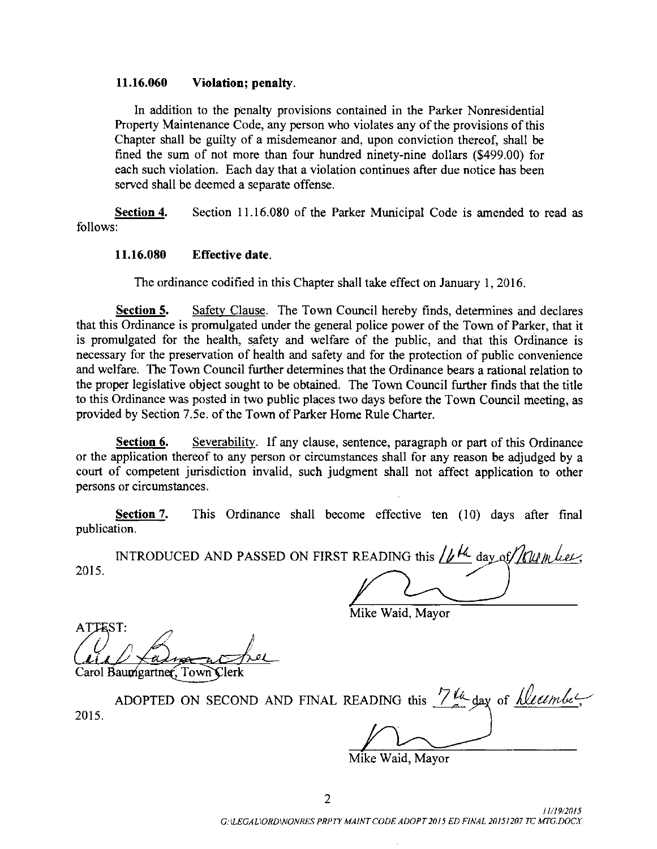#### 11. 16.060 Violation; penalty.

In addition to the penalty provisions contained in the Parker Nonresidential Property Maintenance Code, any person who violates any of the provisions of this Chapter shall be guilty of <sup>a</sup> misdemeanor and, upon conviction thereof, shall be fined the sum of not more than four hundred ninety-nine dollars (\$499.00) for each such violation. Each day that a violation continues after due notice has been served shall be deemed a separate offense.

Section 4. Section 11. 16.080 of the Parker Municipal Code is amended to read as follows:

### 11. 16.080 Effective date.

The ordinance codified in this Chapter shall take effect on January 1, 2016.

Section 5. Safety Clause. The Town Council hereby finds, determines and declares that this Ordinance is promulgated under the general police power of the Town of Parker, that it is promulgated for the health, safety and welfare of the public, and that this Ordinance is necessary for the preservation of health and safety and for the protection of public convenience and welfare. The Town Council further determines that the Ordinance bears a rational relation to the proper legislative object sought to be obtained. The Town Council further finds that the title to this Ordinance was posted in two public places two days before the Town Council meeting, as provided by Section 7.5e. of the Town of Parker Home Rule Charter.

Section 6. Severability. If any clause, sentence, paragraph or part of this Ordinance or the application thereof to any person or circumstances shall for any reason be adjudged by a court of competent jurisdiction invalid, such judgment shall not affect application to other persons or circumstances.

Section 7. This Ordinance shall become effective ten (10) days after final publication.

INTRODUCED AND PASSED ON FIRST READING this  $\frac{1}{k}$  day of *Kumber*, 2015.

Mike Waid, Mayor

ATTEST: Carol Baumgartner, Town Clerk

ADOPTED ON SECOND AND FINAL READING this  $\frac{7\mu}{4}$  day of *Neumbe* 2015.

Mike Waid, Mayor